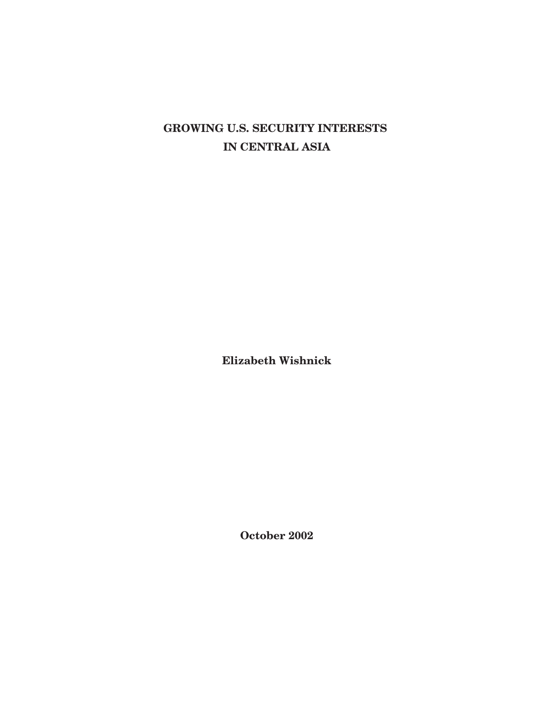# **GROWING U.S. SECURITY INTERESTS IN CENTRAL ASIA**

**Elizabeth Wishnick**

**October 2002**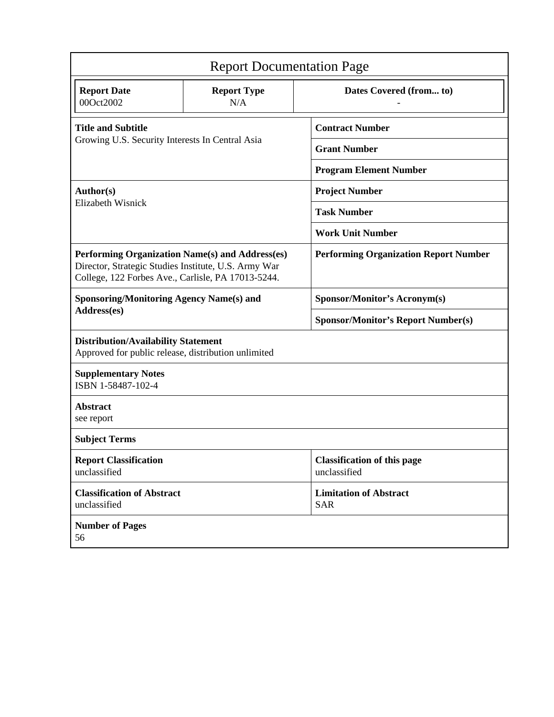| <b>Report Documentation Page</b>                                                                                                                              |                           |                                                    |
|---------------------------------------------------------------------------------------------------------------------------------------------------------------|---------------------------|----------------------------------------------------|
| <b>Report Date</b><br>00Oct2002                                                                                                                               | <b>Report Type</b><br>N/A | Dates Covered (from to)                            |
| <b>Title and Subtitle</b><br>Growing U.S. Security Interests In Central Asia                                                                                  |                           | <b>Contract Number</b>                             |
|                                                                                                                                                               |                           | <b>Grant Number</b>                                |
|                                                                                                                                                               |                           | <b>Program Element Number</b>                      |
| Author(s)<br>Elizabeth Wisnick                                                                                                                                |                           | <b>Project Number</b>                              |
|                                                                                                                                                               |                           | <b>Task Number</b>                                 |
|                                                                                                                                                               |                           | <b>Work Unit Number</b>                            |
| Performing Organization Name(s) and Address(es)<br>Director, Strategic Studies Institute, U.S. Army War<br>College, 122 Forbes Ave., Carlisle, PA 17013-5244. |                           | <b>Performing Organization Report Number</b>       |
| <b>Sponsoring/Monitoring Agency Name(s) and</b><br>Address(es)                                                                                                |                           | <b>Sponsor/Monitor's Acronym(s)</b>                |
|                                                                                                                                                               |                           | <b>Sponsor/Monitor's Report Number(s)</b>          |
| <b>Distribution/Availability Statement</b><br>Approved for public release, distribution unlimited                                                             |                           |                                                    |
| <b>Supplementary Notes</b><br>ISBN 1-58487-102-4                                                                                                              |                           |                                                    |
| <b>Abstract</b><br>see report                                                                                                                                 |                           |                                                    |
| <b>Subject Terms</b>                                                                                                                                          |                           |                                                    |
| <b>Report Classification</b><br>unclassified                                                                                                                  |                           | <b>Classification of this page</b><br>unclassified |
| <b>Classification of Abstract</b><br>unclassified                                                                                                             |                           | <b>Limitation of Abstract</b><br><b>SAR</b>        |
| <b>Number of Pages</b><br>56                                                                                                                                  |                           |                                                    |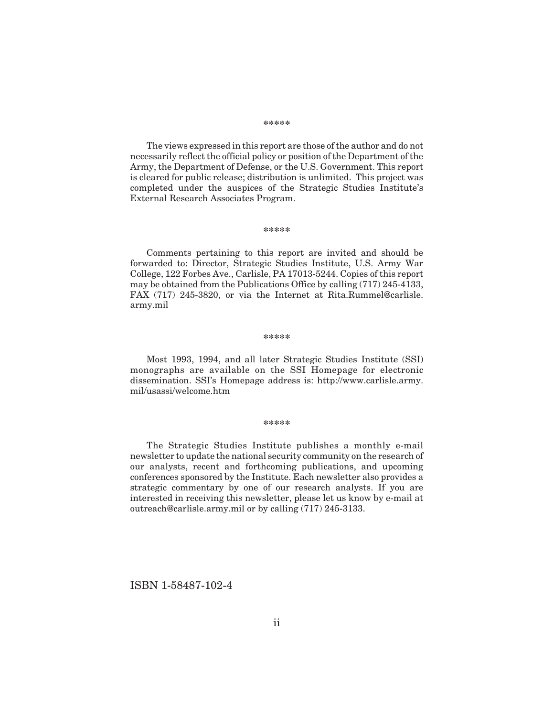#### **\*\*\*\*\***

The views expressed in this report are those of the author and do not necessarily reflect the official policy or position of the Department of the Army, the Department of Defense, or the U.S. Government. This report is cleared for public release; distribution is unlimited. This project was completed under the auspices of the Strategic Studies Institute's External Research Associates Program.

#### **\*\*\*\*\***

Comments pertaining to this report are invited and should be forwarded to: Director, Strategic Studies Institute, U.S. Army War College, 122 Forbes Ave., Carlisle, PA 17013-5244. Copies of this report may be obtained from the Publications Office by calling (717) 245-4133, FAX (717) 245-3820, or via the Internet at Rita.Rummel@carlisle. army.mil

#### **\*\*\*\*\***

Most 1993, 1994, and all later Strategic Studies Institute (SSI) monographs are available on the SSI Homepage for electronic dissemination. SSI's Homepage address is: http://www.carlisle.army. mil/usassi/welcome.htm

#### **\*\*\*\*\***

The Strategic Studies Institute publishes a monthly e-mail newsletter to update the national security community on the research of our analysts, recent and forthcoming publications, and upcoming conferences sponsored by the Institute. Each newsletter also provides a strategic commentary by one of our research analysts. If you are interested in receiving this newsletter, please let us know by e-mail at outreach@carlisle.army.mil or by calling (717) 245-3133.

ISBN 1-58487-102-4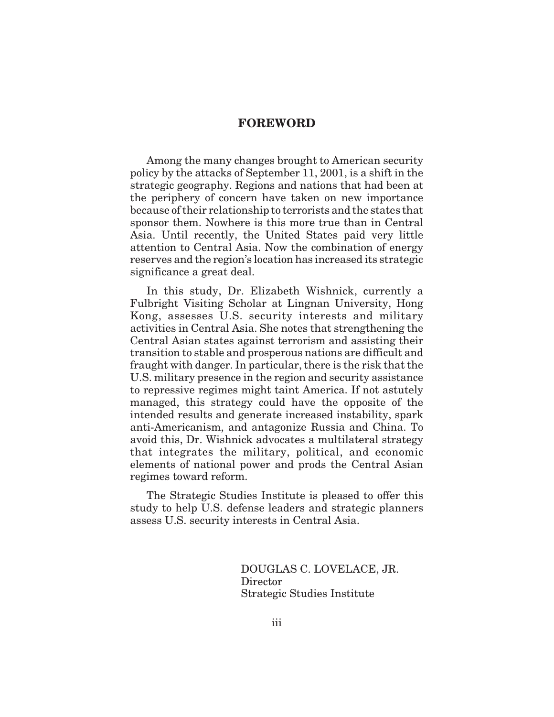### **FOREWORD**

Among the many changes brought to American security policy by the attacks of September 11, 2001, is a shift in the strategic geography. Regions and nations that had been at the periphery of concern have taken on new importance because of their relationship to terrorists and the states that sponsor them. Nowhere is this more true than in Central Asia. Until recently, the United States paid very little attention to Central Asia. Now the combination of energy reserves and the region's location has increased its strategic significance a great deal.

In this study, Dr. Elizabeth Wishnick, currently a Fulbright Visiting Scholar at Lingnan University, Hong Kong, assesses U.S. security interests and military activities in Central Asia. She notes that strengthening the Central Asian states against terrorism and assisting their transition to stable and prosperous nations are difficult and fraught with danger. In particular, there is the risk that the U.S. military presence in the region and security assistance to repressive regimes might taint America. If not astutely managed, this strategy could have the opposite of the intended results and generate increased instability, spark anti-Americanism, and antagonize Russia and China. To avoid this, Dr. Wishnick advocates a multilateral strategy that integrates the military, political, and economic elements of national power and prods the Central Asian regimes toward reform.

The Strategic Studies Institute is pleased to offer this study to help U.S. defense leaders and strategic planners assess U.S. security interests in Central Asia.

> DOUGLAS C. LOVELACE, JR. Director Strategic Studies Institute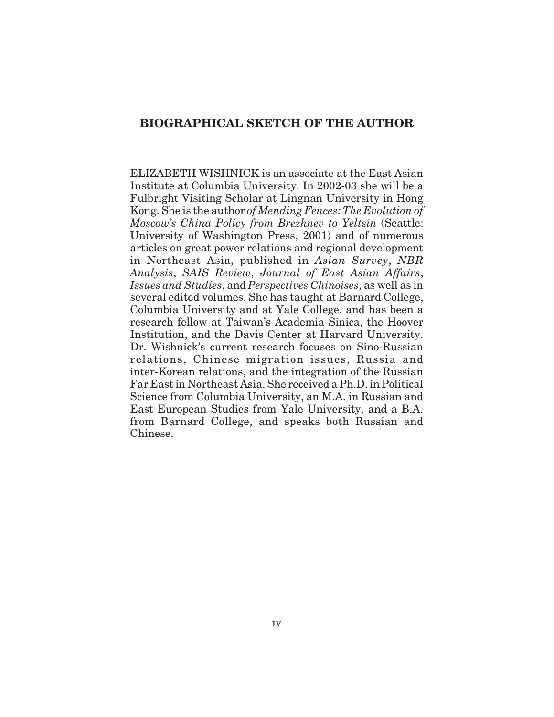## **BIOGRAPHICAL SKETCH OF THE AUTHOR**

ELIZABETH WISHNICK is an associate at the East Asian Institute at Columbia University. In 2002-03 she will be a Fulbright Visiting Scholar at Lingnan University in Hong Kong. She is the author *of Mending Fences: The Evolution of Moscow's China Policy from Brezhnev to Yeltsin* (Seattle: University of Washington Press, 2001) and of numerous articles on great power relations and regional development in Northeast Asia, published in *Asian Survey*, *NBR Analysis*, *SAIS Review*, *Journal of East Asian Affairs*, *Issues and Studies*, and *Perspectives Chinoises*, as well as in several edited volumes. She has taught at Barnard College, Columbia University and at Yale College, and has been a research fellow at Taiwan's Academia Sinica, the Hoover Institution, and the Davis Center at Harvard University. Dr. Wishnick's current research focuses on Sino-Russian relations, Chinese migration issues, Russia and inter-Korean relations, and the integration of the Russian Far East in Northeast Asia. She received a Ph.D. in Political Science from Columbia University, an M.A. in Russian and East European Studies from Yale University, and a B.A. from Barnard College, and speaks both Russian and Chinese.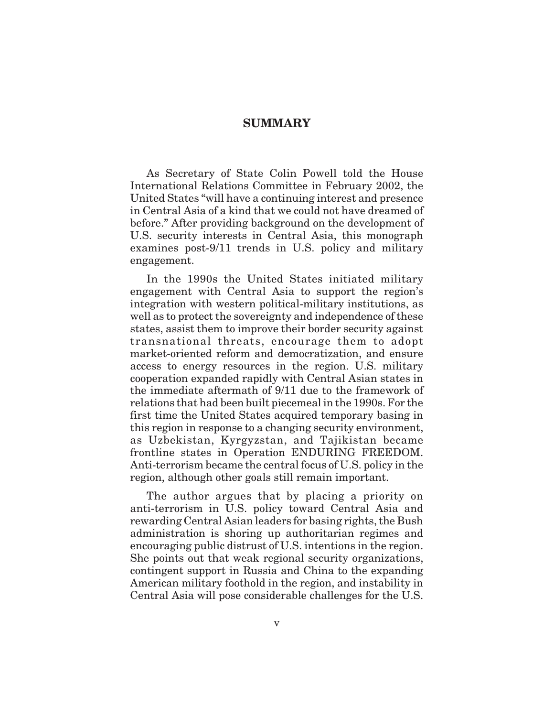### **SUMMARY**

As Secretary of State Colin Powell told the House International Relations Committee in February 2002, the United States "will have a continuing interest and presence in Central Asia of a kind that we could not have dreamed of before." After providing background on the development of U.S. security interests in Central Asia, this monograph examines post-9/11 trends in U.S. policy and military engagement.

In the 1990s the United States initiated military engagement with Central Asia to support the region's integration with western political-military institutions, as well as to protect the sovereignty and independence of these states, assist them to improve their border security against transnational threats, encourage them to adopt market-oriented reform and democratization, and ensure access to energy resources in the region. U.S. military cooperation expanded rapidly with Central Asian states in the immediate aftermath of 9/11 due to the framework of relations that had been built piecemeal in the 1990s. For the first time the United States acquired temporary basing in this region in response to a changing security environment, as Uzbekistan, Kyrgyzstan, and Tajikistan became frontline states in Operation ENDURING FREEDOM. Anti-terrorism became the central focus of U.S. policy in the region, although other goals still remain important.

The author argues that by placing a priority on anti-terrorism in U.S. policy toward Central Asia and rewarding Central Asian leaders for basing rights, the Bush administration is shoring up authoritarian regimes and encouraging public distrust of U.S. intentions in the region. She points out that weak regional security organizations, contingent support in Russia and China to the expanding American military foothold in the region, and instability in Central Asia will pose considerable challenges for the U.S.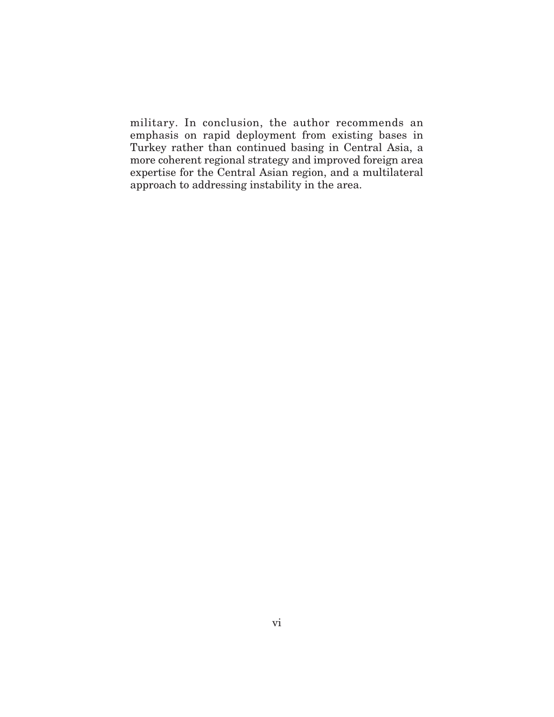military. In conclusion, the author recommends an emphasis on rapid deployment from existing bases in Turkey rather than continued basing in Central Asia, a more coherent regional strategy and improved foreign area expertise for the Central Asian region, and a multilateral approach to addressing instability in the area.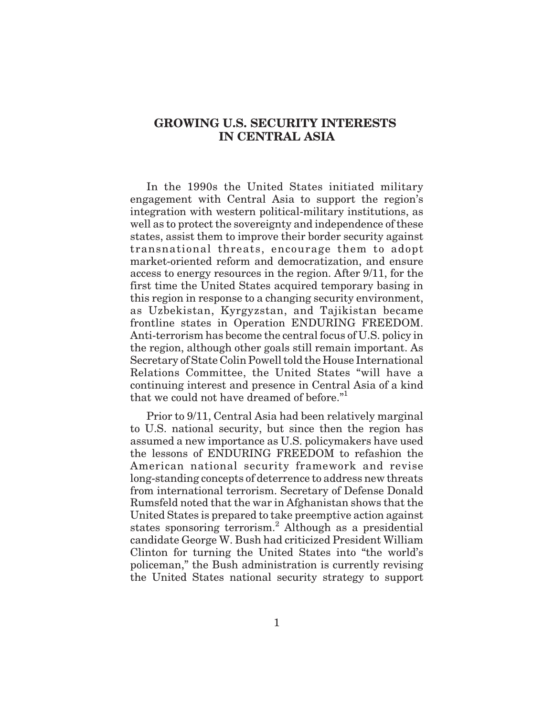# **GROWING U.S. SECURITY INTERESTS IN CENTRAL ASIA**

In the 1990s the United States initiated military engagement with Central Asia to support the region's integration with western political-military institutions, as well as to protect the sovereignty and independence of these states, assist them to improve their border security against transnational threats, encourage them to adopt market-oriented reform and democratization, and ensure access to energy resources in the region. After 9/11, for the first time the United States acquired temporary basing in this region in response to a changing security environment, as Uzbekistan, Kyrgyzstan, and Tajikistan became frontline states in Operation ENDURING FREEDOM. Anti-terrorism has become the central focus of U.S. policy in the region, although other goals still remain important. As Secretary of State Colin Powell told the House International Relations Committee, the United States "will have a continuing interest and presence in Central Asia of a kind that we could not have dreamed of before."<sup>1</sup>

Prior to 9/11, Central Asia had been relatively marginal to U.S. national security, but since then the region has assumed a new importance as U.S. policymakers have used the lessons of ENDURING FREEDOM to refashion the American national security framework and revise long-standing concepts of deterrence to address new threats from international terrorism. Secretary of Defense Donald Rumsfeld noted that the war in Afghanistan shows that the United States is prepared to take preemptive action against states sponsoring terrorism.<sup>2</sup> Although as a presidential candidate George W. Bush had criticized President William Clinton for turning the United States into "the world's policeman," the Bush administration is currently revising the United States national security strategy to support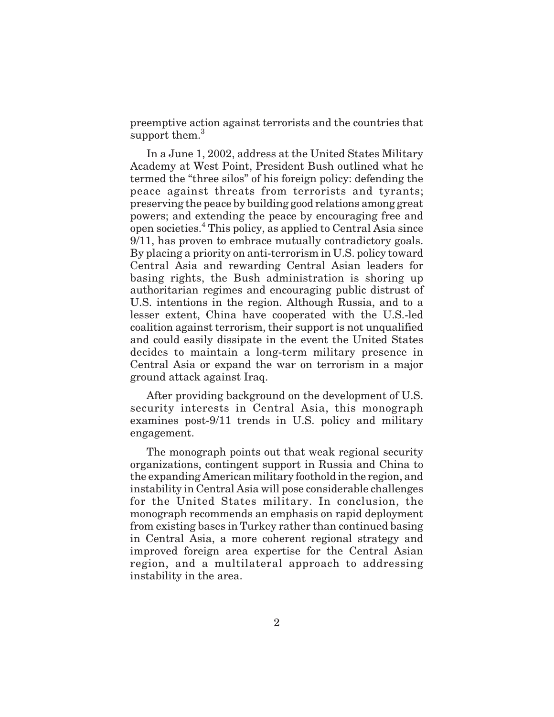preemptive action against terrorists and the countries that support them.<sup>3</sup>

In a June 1, 2002, address at the United States Military Academy at West Point, President Bush outlined what he termed the "three silos" of his foreign policy: defending the peace against threats from terrorists and tyrants; preserving the peace by building good relations among great powers; and extending the peace by encouraging free and open societies.<sup>4</sup> This policy, as applied to Central Asia since 9/11, has proven to embrace mutually contradictory goals. By placing a priority on anti-terrorism in U.S. policy toward Central Asia and rewarding Central Asian leaders for basing rights, the Bush administration is shoring up authoritarian regimes and encouraging public distrust of U.S. intentions in the region. Although Russia, and to a lesser extent, China have cooperated with the U.S.-led coalition against terrorism, their support is not unqualified and could easily dissipate in the event the United States decides to maintain a long-term military presence in Central Asia or expand the war on terrorism in a major ground attack against Iraq.

After providing background on the development of U.S. security interests in Central Asia, this monograph examines post-9/11 trends in U.S. policy and military engagement.

The monograph points out that weak regional security organizations, contingent support in Russia and China to the expanding American military foothold in the region, and instability in Central Asia will pose considerable challenges for the United States military. In conclusion, the monograph recommends an emphasis on rapid deployment from existing bases in Turkey rather than continued basing in Central Asia, a more coherent regional strategy and improved foreign area expertise for the Central Asian region, and a multilateral approach to addressing instability in the area.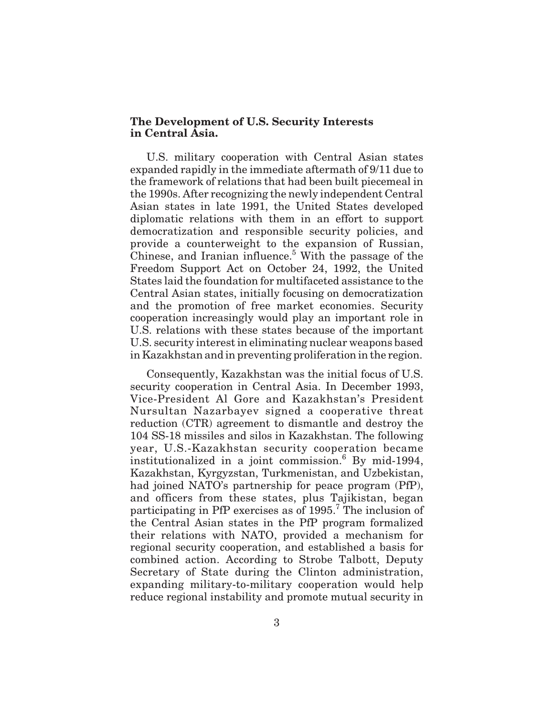### **The Development of U.S. Security Interests in Central Asia.**

U.S. military cooperation with Central Asian states expanded rapidly in the immediate aftermath of 9/11 due to the framework of relations that had been built piecemeal in the 1990s. After recognizing the newly independent Central Asian states in late 1991, the United States developed diplomatic relations with them in an effort to support democratization and responsible security policies, and provide a counterweight to the expansion of Russian, Chinese, and Iranian influence. $5$  With the passage of the Freedom Support Act on October 24, 1992, the United States laid the foundation for multifaceted assistance to the Central Asian states, initially focusing on democratization and the promotion of free market economies. Security cooperation increasingly would play an important role in U.S. relations with these states because of the important U.S. security interest in eliminating nuclear weapons based in Kazakhstan and in preventing proliferation in the region.

Consequently, Kazakhstan was the initial focus of U.S. security cooperation in Central Asia. In December 1993, Vice-President Al Gore and Kazakhstan's President Nursultan Nazarbayev signed a cooperative threat reduction (CTR) agreement to dismantle and destroy the 104 SS-18 missiles and silos in Kazakhstan. The following year, U.S.-Kazakhstan security cooperation became institutionalized in a joint commission. $6$  By mid-1994, Kazakhstan, Kyrgyzstan, Turkmenistan, and Uzbekistan, had joined NATO's partnership for peace program (PfP), and officers from these states, plus Tajikistan, began participating in PfP exercises as of  $1995<sup>7</sup>$ . The inclusion of the Central Asian states in the PfP program formalized their relations with NATO, provided a mechanism for regional security cooperation, and established a basis for combined action. According to Strobe Talbott, Deputy Secretary of State during the Clinton administration, expanding military-to-military cooperation would help reduce regional instability and promote mutual security in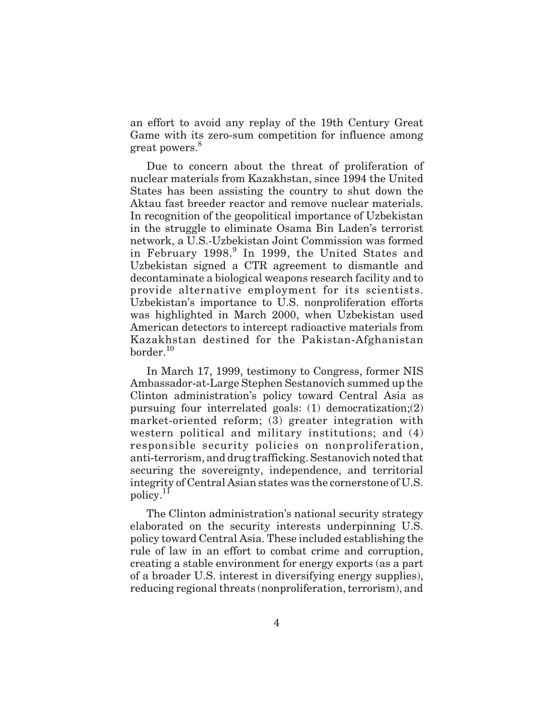an effort to avoid any replay of the 19th Century Great Game with its zero-sum competition for influence among great powers.<sup>8</sup>

Due to concern about the threat of proliferation of nuclear materials from Kazakhstan, since 1994 the United States has been assisting the country to shut down the Aktau fast breeder reactor and remove nuclear materials. In recognition of the geopolitical importance of Uzbekistan in the struggle to eliminate Osama Bin Laden's terrorist network, a U.S.-Uzbekistan Joint Commission was formed in February 1998.<sup>9</sup> In 1999, the United States and Uzbekistan signed a CTR agreement to dismantle and decontaminate a biological weapons research facility and to provide alternative employment for its scientists. Uzbekistan's importance to U.S. nonproliferation efforts was highlighted in March 2000, when Uzbekistan used American detectors to intercept radioactive materials from Kazakhstan destined for the Pakistan-Afghanistan  $border<sup>10</sup>$ 

In March 17, 1999, testimony to Congress, former NIS Ambassador-at-Large Stephen Sestanovich summed up the Clinton administration's policy toward Central Asia as pursuing four interrelated goals: (1) democratization;(2) market-oriented reform; (3) greater integration with western political and military institutions; and (4) responsible security policies on nonproliferation, anti-terrorism, and drug trafficking. Sestanovich noted that securing the sovereignty, independence, and territorial integrity of Central Asian states was the cornerstone of U.S. policy.<sup>11</sup>

The Clinton administration's national security strategy elaborated on the security interests underpinning U.S. policy toward Central Asia. These included establishing the rule of law in an effort to combat crime and corruption, creating a stable environment for energy exports (as a part of a broader U.S. interest in diversifying energy supplies), reducing regional threats (nonproliferation, terrorism), and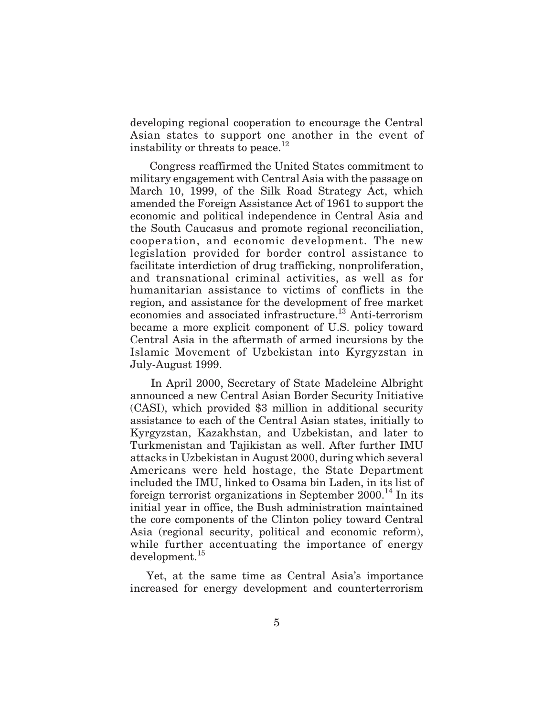developing regional cooperation to encourage the Central Asian states to support one another in the event of instability or threats to peace.<sup>12</sup>

Congress reaffirmed the United States commitment to military engagement with Central Asia with the passage on March 10, 1999, of the Silk Road Strategy Act, which amended the Foreign Assistance Act of 1961 to support the economic and political independence in Central Asia and the South Caucasus and promote regional reconciliation, cooperation, and economic development. The new legislation provided for border control assistance to facilitate interdiction of drug trafficking, nonproliferation, and transnational criminal activities, as well as for humanitarian assistance to victims of conflicts in the region, and assistance for the development of free market economies and associated infrastructure.<sup>13</sup> Anti-terrorism became a more explicit component of U.S. policy toward Central Asia in the aftermath of armed incursions by the Islamic Movement of Uzbekistan into Kyrgyzstan in July-August 1999.

In April 2000, Secretary of State Madeleine Albright announced a new Central Asian Border Security Initiative (CASI), which provided \$3 million in additional security assistance to each of the Central Asian states, initially to Kyrgyzstan, Kazakhstan, and Uzbekistan, and later to Turkmenistan and Tajikistan as well. After further IMU attacks in Uzbekistan in August 2000, during which several Americans were held hostage, the State Department included the IMU, linked to Osama bin Laden, in its list of foreign terrorist organizations in September  $2000$ .<sup>14</sup> In its initial year in office, the Bush administration maintained the core components of the Clinton policy toward Central Asia (regional security, political and economic reform), while further accentuating the importance of energy development.<sup>15</sup>

Yet, at the same time as Central Asia's importance increased for energy development and counterterrorism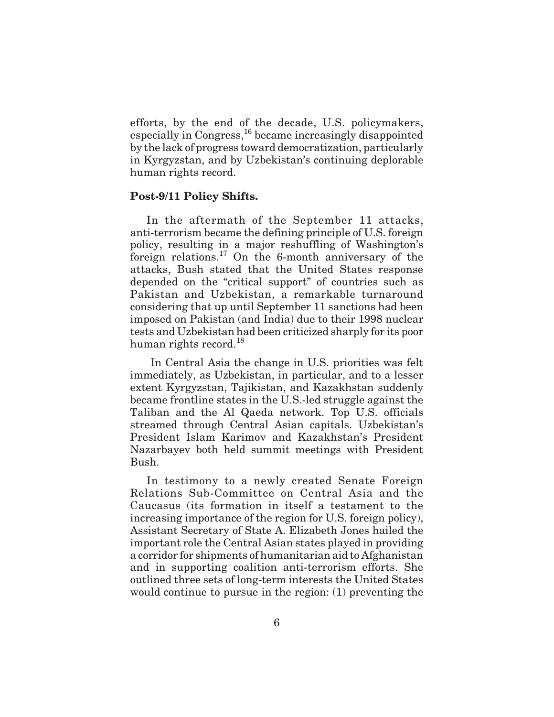efforts, by the end of the decade, U.S. policymakers, especially in Congress,16 became increasingly disappointed by the lack of progress toward democratization, particularly in Kyrgyzstan, and by Uzbekistan's continuing deplorable human rights record.

### **Post-9/11 Policy Shifts.**

In the aftermath of the September 11 attacks, anti-terrorism became the defining principle of U.S. foreign policy, resulting in a major reshuffling of Washington's foreign relations.<sup>17</sup> On the 6-month anniversary of the attacks, Bush stated that the United States response depended on the "critical support" of countries such as Pakistan and Uzbekistan, a remarkable turnaround considering that up until September 11 sanctions had been imposed on Pakistan (and India) due to their 1998 nuclear tests and Uzbekistan had been criticized sharply for its poor human rights record.<sup>18</sup>

In Central Asia the change in U.S. priorities was felt immediately, as Uzbekistan, in particular, and to a lesser extent Kyrgyzstan, Tajikistan, and Kazakhstan suddenly became frontline states in the U.S.-led struggle against the Taliban and the Al Qaeda network. Top U.S. officials streamed through Central Asian capitals. Uzbekistan's President Islam Karimov and Kazakhstan's President Nazarbayev both held summit meetings with President Bush.

In testimony to a newly created Senate Foreign Relations Sub-Committee on Central Asia and the Caucasus (its formation in itself a testament to the increasing importance of the region for U.S. foreign policy), Assistant Secretary of State A. Elizabeth Jones hailed the important role the Central Asian states played in providing a corridor for shipments of humanitarian aid to Afghanistan and in supporting coalition anti-terrorism efforts. She outlined three sets of long-term interests the United States would continue to pursue in the region: (1) preventing the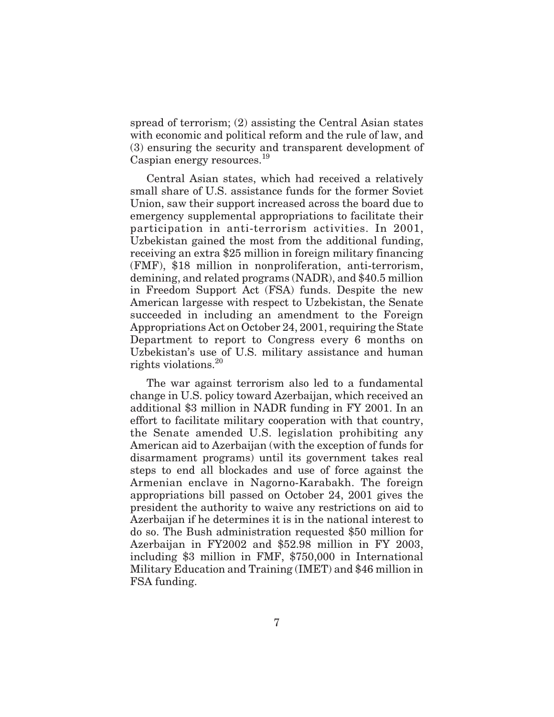spread of terrorism; (2) assisting the Central Asian states with economic and political reform and the rule of law, and (3) ensuring the security and transparent development of Caspian energy resources.<sup>19</sup>

Central Asian states, which had received a relatively small share of U.S. assistance funds for the former Soviet Union, saw their support increased across the board due to emergency supplemental appropriations to facilitate their participation in anti-terrorism activities. In 2001, Uzbekistan gained the most from the additional funding, receiving an extra \$25 million in foreign military financing (FMF), \$18 million in nonproliferation, anti-terrorism, demining, and related programs (NADR), and \$40.5 million in Freedom Support Act (FSA) funds. Despite the new American largesse with respect to Uzbekistan, the Senate succeeded in including an amendment to the Foreign Appropriations Act on October 24, 2001, requiring the State Department to report to Congress every 6 months on Uzbekistan's use of U.S. military assistance and human rights violations.<sup>20</sup>

The war against terrorism also led to a fundamental change in U.S. policy toward Azerbaijan, which received an additional \$3 million in NADR funding in FY 2001. In an effort to facilitate military cooperation with that country, the Senate amended U.S. legislation prohibiting any American aid to Azerbaijan (with the exception of funds for disarmament programs) until its government takes real steps to end all blockades and use of force against the Armenian enclave in Nagorno-Karabakh. The foreign appropriations bill passed on October 24, 2001 gives the president the authority to waive any restrictions on aid to Azerbaijan if he determines it is in the national interest to do so. The Bush administration requested \$50 million for Azerbaijan in FY2002 and \$52.98 million in FY 2003, including \$3 million in FMF, \$750,000 in International Military Education and Training (IMET) and \$46 million in FSA funding.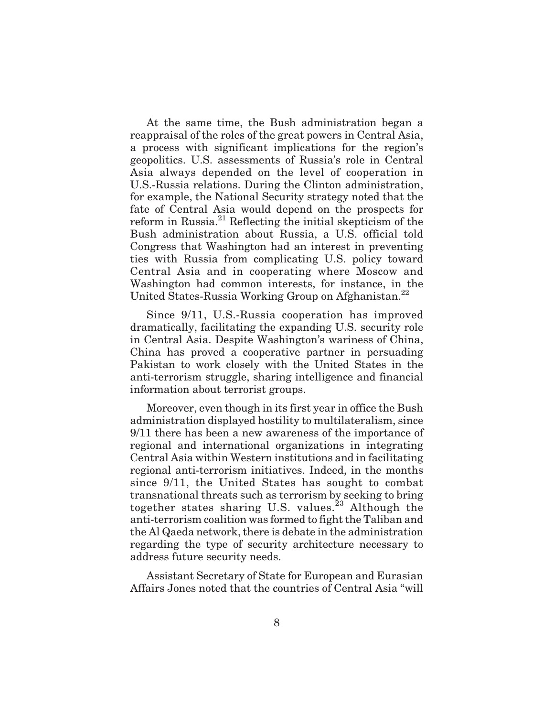At the same time, the Bush administration began a reappraisal of the roles of the great powers in Central Asia, a process with significant implications for the region's geopolitics. U.S. assessments of Russia's role in Central Asia always depended on the level of cooperation in U.S.-Russia relations. During the Clinton administration, for example, the National Security strategy noted that the fate of Central Asia would depend on the prospects for reform in Russia.<sup>21</sup> Reflecting the initial skepticism of the Bush administration about Russia, a U.S. official told Congress that Washington had an interest in preventing ties with Russia from complicating U.S. policy toward Central Asia and in cooperating where Moscow and Washington had common interests, for instance, in the United States-Russia Working Group on Afghanistan.<sup>22</sup>

Since 9/11, U.S.-Russia cooperation has improved dramatically, facilitating the expanding U.S. security role in Central Asia. Despite Washington's wariness of China, China has proved a cooperative partner in persuading Pakistan to work closely with the United States in the anti-terrorism struggle, sharing intelligence and financial information about terrorist groups.

Moreover, even though in its first year in office the Bush administration displayed hostility to multilateralism, since 9/11 there has been a new awareness of the importance of regional and international organizations in integrating Central Asia within Western institutions and in facilitating regional anti-terrorism initiatives. Indeed, in the months since 9/11, the United States has sought to combat transnational threats such as terrorism by seeking to bring together states sharing U.S. values.<sup>23</sup> Although the anti-terrorism coalition was formed to fight the Taliban and the Al Qaeda network, there is debate in the administration regarding the type of security architecture necessary to address future security needs.

Assistant Secretary of State for European and Eurasian Affairs Jones noted that the countries of Central Asia "will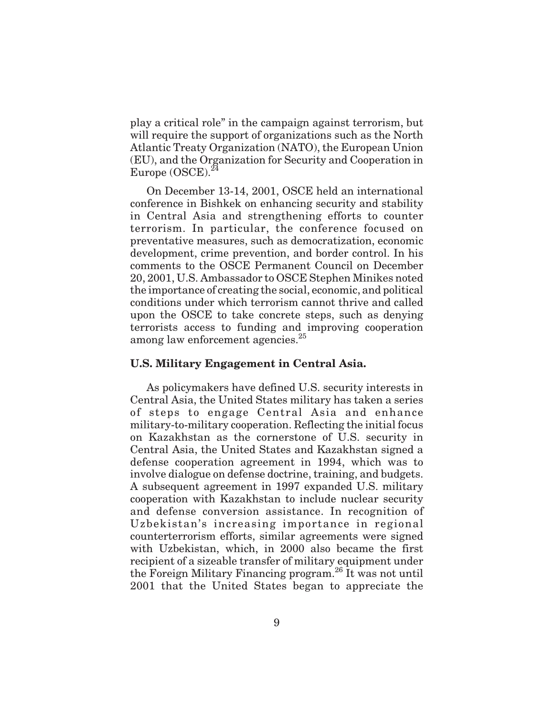play a critical role" in the campaign against terrorism, but will require the support of organizations such as the North Atlantic Treaty Organization (NATO), the European Union (EU), and the Organization for Security and Cooperation in Europe  $(OSCE)^{24}$ 

On December 13-14, 2001, OSCE held an international conference in Bishkek on enhancing security and stability in Central Asia and strengthening efforts to counter terrorism. In particular, the conference focused on preventative measures, such as democratization, economic development, crime prevention, and border control. In his comments to the OSCE Permanent Council on December 20, 2001, U.S. Ambassador to OSCE Stephen Minikes noted the importance of creating the social, economic, and political conditions under which terrorism cannot thrive and called upon the OSCE to take concrete steps, such as denying terrorists access to funding and improving cooperation among law enforcement agencies.<sup>25</sup>

### **U.S. Military Engagement in Central Asia.**

As policymakers have defined U.S. security interests in Central Asia, the United States military has taken a series of steps to engage Central Asia and enhance military-to-military cooperation. Reflecting the initial focus on Kazakhstan as the cornerstone of U.S. security in Central Asia, the United States and Kazakhstan signed a defense cooperation agreement in 1994, which was to involve dialogue on defense doctrine, training, and budgets. A subsequent agreement in 1997 expanded U.S. military cooperation with Kazakhstan to include nuclear security and defense conversion assistance. In recognition of Uzbekistan's increasing importance in regional counterterrorism efforts, similar agreements were signed with Uzbekistan, which, in 2000 also became the first recipient of a sizeable transfer of military equipment under the Foreign Military Financing program.26 It was not until 2001 that the United States began to appreciate the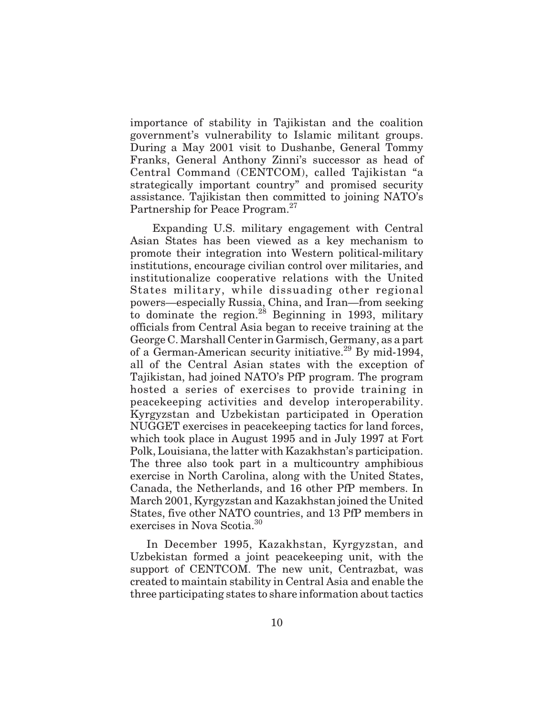importance of stability in Tajikistan and the coalition government's vulnerability to Islamic militant groups. During a May 2001 visit to Dushanbe, General Tommy Franks, General Anthony Zinni's successor as head of Central Command (CENTCOM), called Tajikistan "a strategically important country" and promised security assistance. Tajikistan then committed to joining NATO's Partnership for Peace Program.<sup>27</sup>

Expanding U.S. military engagement with Central Asian States has been viewed as a key mechanism to promote their integration into Western political-military institutions, encourage civilian control over militaries, and institutionalize cooperative relations with the United States military, while dissuading other regional powers—especially Russia, China, and Iran—from seeking to dominate the region.<sup>28</sup> Beginning in 1993, military officials from Central Asia began to receive training at the George C. Marshall Center in Garmisch, Germany, as a part of a German-American security initiative.<sup>29</sup> By mid-1994, all of the Central Asian states with the exception of Tajikistan, had joined NATO's PfP program. The program hosted a series of exercises to provide training in peacekeeping activities and develop interoperability. Kyrgyzstan and Uzbekistan participated in Operation NUGGET exercises in peacekeeping tactics for land forces, which took place in August 1995 and in July 1997 at Fort Polk, Louisiana, the latter with Kazakhstan's participation. The three also took part in a multicountry amphibious exercise in North Carolina, along with the United States, Canada, the Netherlands, and 16 other PfP members. In March 2001, Kyrgyzstan and Kazakhstan joined the United States, five other NATO countries, and 13 PfP members in exercises in Nova Scotia.<sup>30</sup>

In December 1995, Kazakhstan, Kyrgyzstan, and Uzbekistan formed a joint peacekeeping unit, with the support of CENTCOM. The new unit, Centrazbat, was created to maintain stability in Central Asia and enable the three participating states to share information about tactics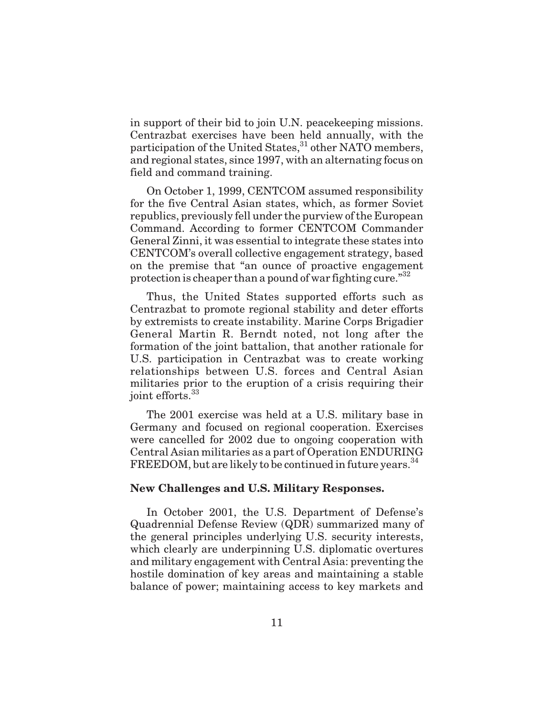in support of their bid to join U.N. peacekeeping missions. Centrazbat exercises have been held annually, with the participation of the United States,<sup>31</sup> other NATO members, and regional states, since 1997, with an alternating focus on field and command training.

On October 1, 1999, CENTCOM assumed responsibility for the five Central Asian states, which, as former Soviet republics, previously fell under the purview of the European Command. According to former CENTCOM Commander General Zinni, it was essential to integrate these states into CENTCOM's overall collective engagement strategy, based on the premise that "an ounce of proactive engagement protection is cheaper than a pound of war fighting cure."<sup>32</sup>

Thus, the United States supported efforts such as Centrazbat to promote regional stability and deter efforts by extremists to create instability. Marine Corps Brigadier General Martin R. Berndt noted, not long after the formation of the joint battalion, that another rationale for U.S. participation in Centrazbat was to create working relationships between U.S. forces and Central Asian militaries prior to the eruption of a crisis requiring their joint efforts.<sup>33</sup>

The 2001 exercise was held at a U.S. military base in Germany and focused on regional cooperation. Exercises were cancelled for 2002 due to ongoing cooperation with Central Asian militaries as a part of Operation ENDURING FREEDOM, but are likely to be continued in future years.<sup>34</sup>

#### **New Challenges and U.S. Military Responses.**

In October 2001, the U.S. Department of Defense's Quadrennial Defense Review (QDR) summarized many of the general principles underlying U.S. security interests, which clearly are underpinning U.S. diplomatic overtures and military engagement with Central Asia: preventing the hostile domination of key areas and maintaining a stable balance of power; maintaining access to key markets and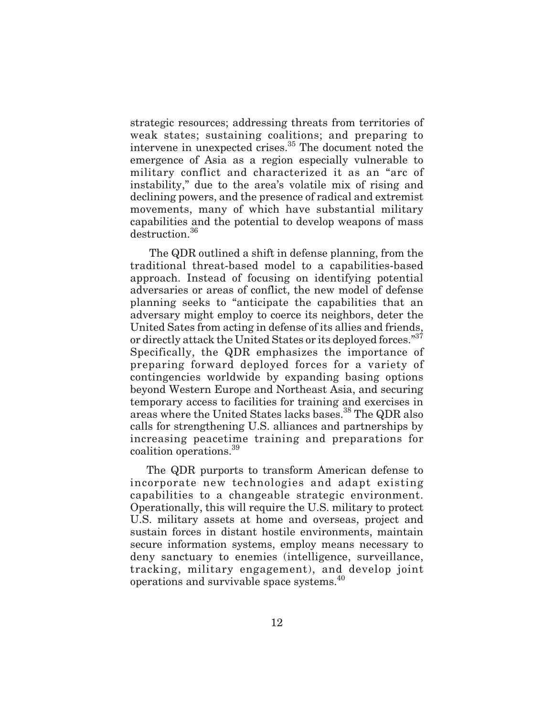strategic resources; addressing threats from territories of weak states; sustaining coalitions; and preparing to intervene in unexpected crises.35 The document noted the emergence of Asia as a region especially vulnerable to military conflict and characterized it as an "arc of instability," due to the area's volatile mix of rising and declining powers, and the presence of radical and extremist movements, many of which have substantial military capabilities and the potential to develop weapons of mass destruction.<sup>36</sup>

The QDR outlined a shift in defense planning, from the traditional threat-based model to a capabilities-based approach. Instead of focusing on identifying potential adversaries or areas of conflict, the new model of defense planning seeks to "anticipate the capabilities that an adversary might employ to coerce its neighbors, deter the United Sates from acting in defense of its allies and friends, or directly attack the United States or its deployed forces."<sup>37</sup> Specifically, the QDR emphasizes the importance of preparing forward deployed forces for a variety of contingencies worldwide by expanding basing options beyond Western Europe and Northeast Asia, and securing temporary access to facilities for training and exercises in areas where the United States lacks bases.<sup>38</sup> The QDR also calls for strengthening U.S. alliances and partnerships by increasing peacetime training and preparations for coalition operations.<sup>39</sup>

The QDR purports to transform American defense to incorporate new technologies and adapt existing capabilities to a changeable strategic environment. Operationally, this will require the U.S. military to protect U.S. military assets at home and overseas, project and sustain forces in distant hostile environments, maintain secure information systems, employ means necessary to deny sanctuary to enemies (intelligence, surveillance, tracking, military engagement), and develop joint operations and survivable space systems.<sup>40</sup>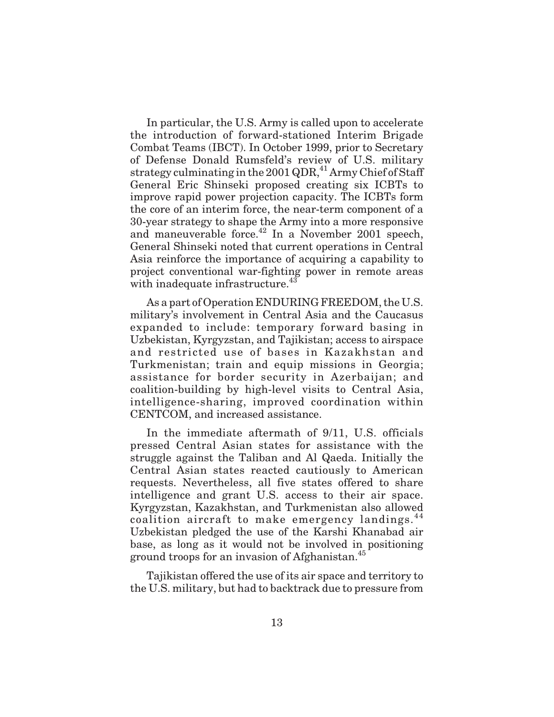In particular, the U.S. Army is called upon to accelerate the introduction of forward-stationed Interim Brigade Combat Teams (IBCT). In October 1999, prior to Secretary of Defense Donald Rumsfeld's review of U.S. military strategy culminating in the 2001 QDR,<sup>41</sup> Army Chief of Staff General Eric Shinseki proposed creating six ICBTs to improve rapid power projection capacity. The ICBTs form the core of an interim force, the near-term component of a 30-year strategy to shape the Army into a more responsive and maneuverable force.<sup>42</sup> In a November 2001 speech, General Shinseki noted that current operations in Central Asia reinforce the importance of acquiring a capability to project conventional war-fighting power in remote areas with inadequate infrastructure.<sup>43</sup>

As a part of Operation ENDURING FREEDOM, the U.S. military's involvement in Central Asia and the Caucasus expanded to include: temporary forward basing in Uzbekistan, Kyrgyzstan, and Tajikistan; access to airspace and restricted use of bases in Kazakhstan and Turkmenistan; train and equip missions in Georgia; assistance for border security in Azerbaijan; and coalition-building by high-level visits to Central Asia, intelligence-sharing, improved coordination within CENTCOM, and increased assistance.

In the immediate aftermath of 9/11, U.S. officials pressed Central Asian states for assistance with the struggle against the Taliban and Al Qaeda. Initially the Central Asian states reacted cautiously to American requests. Nevertheless, all five states offered to share intelligence and grant U.S. access to their air space. Kyrgyzstan, Kazakhstan, and Turkmenistan also allowed coalition aircraft to make emergency landings.<sup>44</sup> Uzbekistan pledged the use of the Karshi Khanabad air base, as long as it would not be involved in positioning ground troops for an invasion of Afghanistan.<sup>45</sup>

Tajikistan offered the use of its air space and territory to the U.S. military, but had to backtrack due to pressure from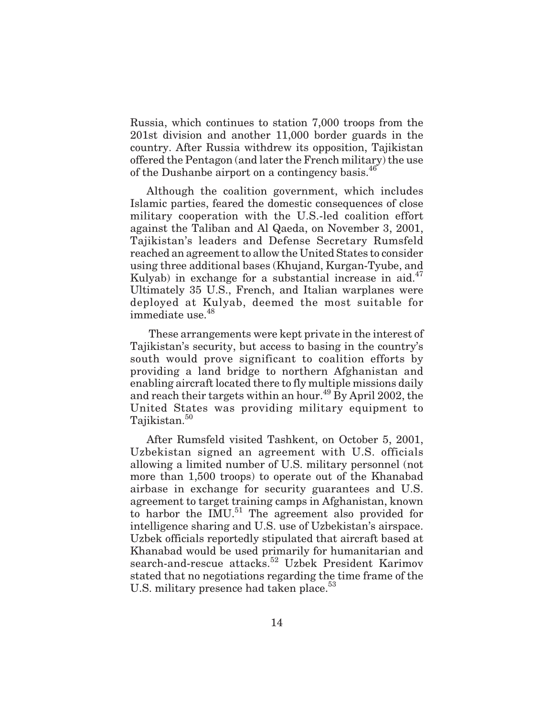Russia, which continues to station 7,000 troops from the 201st division and another 11,000 border guards in the country. After Russia withdrew its opposition, Tajikistan offered the Pentagon (and later the French military) the use of the Dushanbe airport on a contingency basis.<sup>46</sup>

Although the coalition government, which includes Islamic parties, feared the domestic consequences of close military cooperation with the U.S.-led coalition effort against the Taliban and Al Qaeda, on November 3, 2001, Tajikistan's leaders and Defense Secretary Rumsfeld reached an agreement to allow the United States to consider using three additional bases (Khujand, Kurgan-Tyube, and Kulyab) in exchange for a substantial increase in aid.<sup>47</sup> Ultimately 35 U.S., French, and Italian warplanes were deployed at Kulyab, deemed the most suitable for immediate use.<sup>48</sup>

These arrangements were kept private in the interest of Tajikistan's security, but access to basing in the country's south would prove significant to coalition efforts by providing a land bridge to northern Afghanistan and enabling aircraft located there to fly multiple missions daily and reach their targets within an hour.<sup>49</sup> By April 2002, the United States was providing military equipment to Tajikistan.<sup>50</sup>

After Rumsfeld visited Tashkent, on October 5, 2001, Uzbekistan signed an agreement with U.S. officials allowing a limited number of U.S. military personnel (not more than 1,500 troops) to operate out of the Khanabad airbase in exchange for security guarantees and U.S. agreement to target training camps in Afghanistan, known to harbor the  $IMU<sup>51</sup>$ . The agreement also provided for intelligence sharing and U.S. use of Uzbekistan's airspace. Uzbek officials reportedly stipulated that aircraft based at Khanabad would be used primarily for humanitarian and search-and-rescue attacks.<sup>52</sup> Uzbek President Karimov stated that no negotiations regarding the time frame of the U.S. military presence had taken place.<sup>53</sup>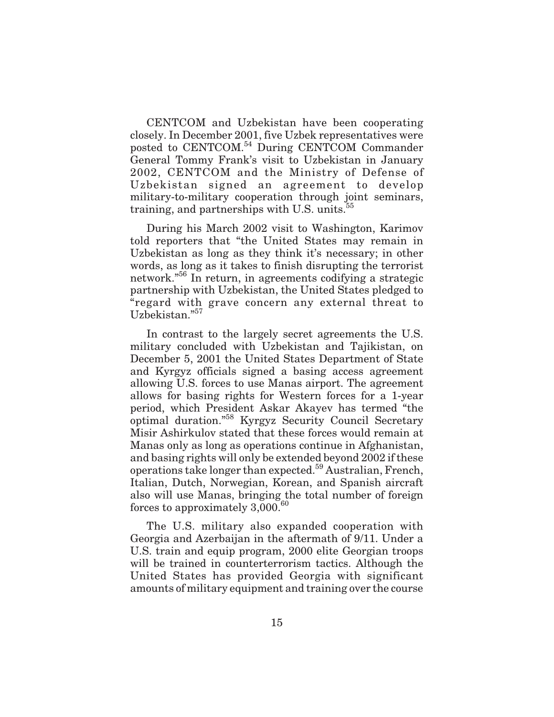CENTCOM and Uzbekistan have been cooperating closely. In December 2001, five Uzbek representatives were posted to CENTCOM.54 During CENTCOM Commander General Tommy Frank's visit to Uzbekistan in January 2002, CENTCOM and the Ministry of Defense of Uzbekistan signed an agreement to develop military-to-military cooperation through joint seminars, training, and partnerships with U.S. units. $55$ 

During his March 2002 visit to Washington, Karimov told reporters that "the United States may remain in Uzbekistan as long as they think it's necessary; in other words, as long as it takes to finish disrupting the terrorist network."<sup>56</sup> In return, in agreements codifying a strategic partnership with Uzbekistan, the United States pledged to "regard with grave concern any external threat to Uzbekistan."<sup>57</sup>

In contrast to the largely secret agreements the U.S. military concluded with Uzbekistan and Tajikistan, on December 5, 2001 the United States Department of State and Kyrgyz officials signed a basing access agreement allowing U.S. forces to use Manas airport. The agreement allows for basing rights for Western forces for a 1-year period, which President Askar Akayev has termed "the optimal duration."<sup>58</sup> Kyrgyz Security Council Secretary Misir Ashirkulov stated that these forces would remain at Manas only as long as operations continue in Afghanistan, and basing rights will only be extended beyond 2002 if these operations take longer than expected.59 Australian, French, Italian, Dutch, Norwegian, Korean, and Spanish aircraft also will use Manas, bringing the total number of foreign forces to approximately  $3,000.^{60}$ 

The U.S. military also expanded cooperation with Georgia and Azerbaijan in the aftermath of 9/11. Under a U.S. train and equip program, 2000 elite Georgian troops will be trained in counterterrorism tactics. Although the United States has provided Georgia with significant amounts of military equipment and training over the course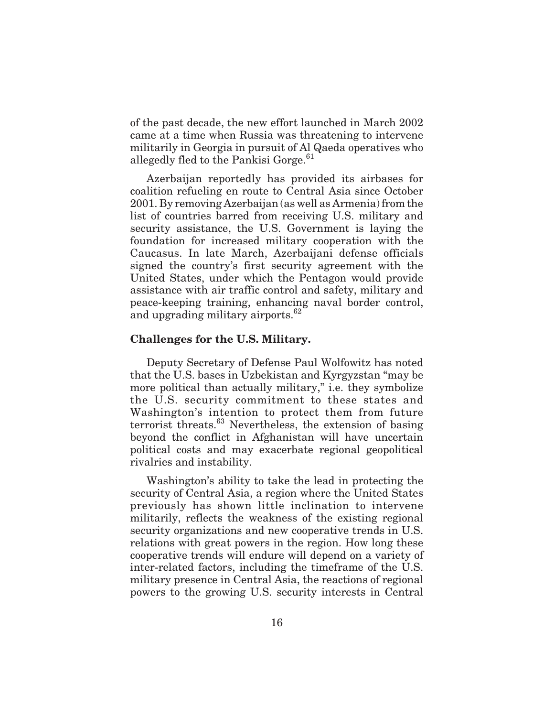of the past decade, the new effort launched in March 2002 came at a time when Russia was threatening to intervene militarily in Georgia in pursuit of Al Qaeda operatives who allegedly fled to the Pankisi Gorge.<sup>61</sup>

Azerbaijan reportedly has provided its airbases for coalition refueling en route to Central Asia since October 2001. By removing Azerbaijan (as well as Armenia) from the list of countries barred from receiving U.S. military and security assistance, the U.S. Government is laying the foundation for increased military cooperation with the Caucasus. In late March, Azerbaijani defense officials signed the country's first security agreement with the United States, under which the Pentagon would provide assistance with air traffic control and safety, military and peace-keeping training, enhancing naval border control, and upgrading military airports. $62$ 

#### **Challenges for the U.S. Military.**

Deputy Secretary of Defense Paul Wolfowitz has noted that the U.S. bases in Uzbekistan and Kyrgyzstan "may be more political than actually military," i.e. they symbolize the U.S. security commitment to these states and Washington's intention to protect them from future terrorist threats.63 Nevertheless, the extension of basing beyond the conflict in Afghanistan will have uncertain political costs and may exacerbate regional geopolitical rivalries and instability.

Washington's ability to take the lead in protecting the security of Central Asia, a region where the United States previously has shown little inclination to intervene militarily, reflects the weakness of the existing regional security organizations and new cooperative trends in U.S. relations with great powers in the region. How long these cooperative trends will endure will depend on a variety of inter-related factors, including the timeframe of the U.S. military presence in Central Asia, the reactions of regional powers to the growing U.S. security interests in Central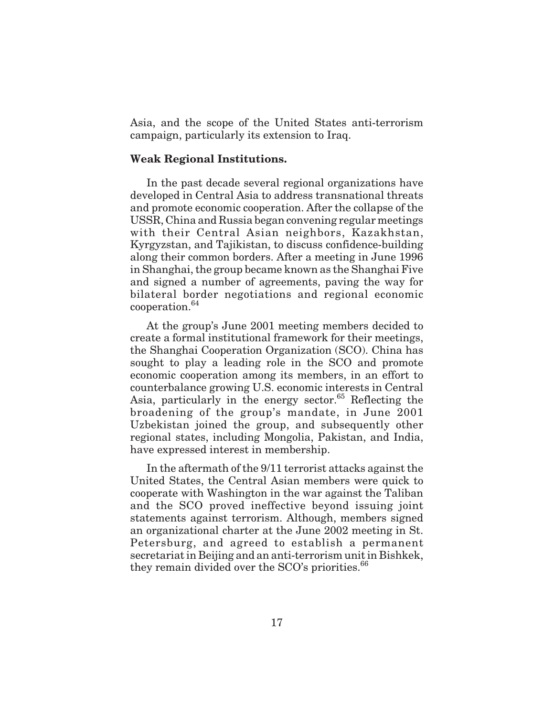Asia, and the scope of the United States anti-terrorism campaign, particularly its extension to Iraq.

### **Weak Regional Institutions.**

In the past decade several regional organizations have developed in Central Asia to address transnational threats and promote economic cooperation. After the collapse of the USSR, China and Russia began convening regular meetings with their Central Asian neighbors, Kazakhstan, Kyrgyzstan, and Tajikistan, to discuss confidence-building along their common borders. After a meeting in June 1996 in Shanghai, the group became known as the Shanghai Five and signed a number of agreements, paving the way for bilateral border negotiations and regional economic cooperation.<sup>64</sup>

At the group's June 2001 meeting members decided to create a formal institutional framework for their meetings, the Shanghai Cooperation Organization (SCO). China has sought to play a leading role in the SCO and promote economic cooperation among its members, in an effort to counterbalance growing U.S. economic interests in Central Asia, particularly in the energy sector. $65$  Reflecting the broadening of the group's mandate, in June 2001 Uzbekistan joined the group, and subsequently other regional states, including Mongolia, Pakistan, and India, have expressed interest in membership.

In the aftermath of the 9/11 terrorist attacks against the United States, the Central Asian members were quick to cooperate with Washington in the war against the Taliban and the SCO proved ineffective beyond issuing joint statements against terrorism. Although, members signed an organizational charter at the June 2002 meeting in St. Petersburg, and agreed to establish a permanent secretariat in Beijing and an anti-terrorism unit in Bishkek, they remain divided over the  $SCO's$  priorities.<sup>66</sup>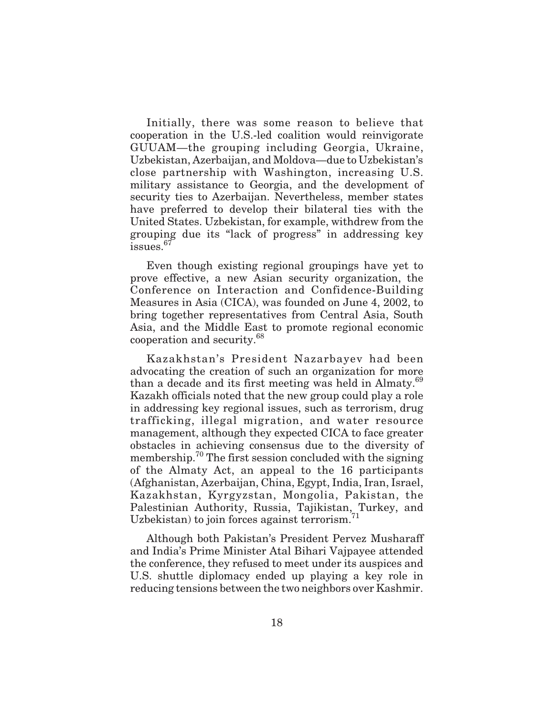Initially, there was some reason to believe that cooperation in the U.S.-led coalition would reinvigorate GUUAM—the grouping including Georgia, Ukraine, Uzbekistan, Azerbaijan, and Moldova—due to Uzbekistan's close partnership with Washington, increasing U.S. military assistance to Georgia, and the development of security ties to Azerbaijan. Nevertheless, member states have preferred to develop their bilateral ties with the United States. Uzbekistan, for example, withdrew from the grouping due its "lack of progress" in addressing key issues.<sup>67</sup>

Even though existing regional groupings have yet to prove effective, a new Asian security organization, the Conference on Interaction and Confidence-Building Measures in Asia (CICA), was founded on June 4, 2002, to bring together representatives from Central Asia, South Asia, and the Middle East to promote regional economic cooperation and security.<sup>68</sup>

Kazakhstan's President Nazarbayev had been advocating the creation of such an organization for more than a decade and its first meeting was held in Almaty.<sup>69</sup> Kazakh officials noted that the new group could play a role in addressing key regional issues, such as terrorism, drug trafficking, illegal migration, and water resource management, although they expected CICA to face greater obstacles in achieving consensus due to the diversity of membership.<sup>70</sup> The first session concluded with the signing of the Almaty Act, an appeal to the 16 participants (Afghanistan, Azerbaijan, China, Egypt, India, Iran, Israel, Kazakhstan, Kyrgyzstan, Mongolia, Pakistan, the Palestinian Authority, Russia, Tajikistan, Turkey, and Uzbekistan) to join forces against terrorism. $^{11}$ 

Although both Pakistan's President Pervez Musharaff and India's Prime Minister Atal Bihari Vajpayee attended the conference, they refused to meet under its auspices and U.S. shuttle diplomacy ended up playing a key role in reducing tensions between the two neighbors over Kashmir.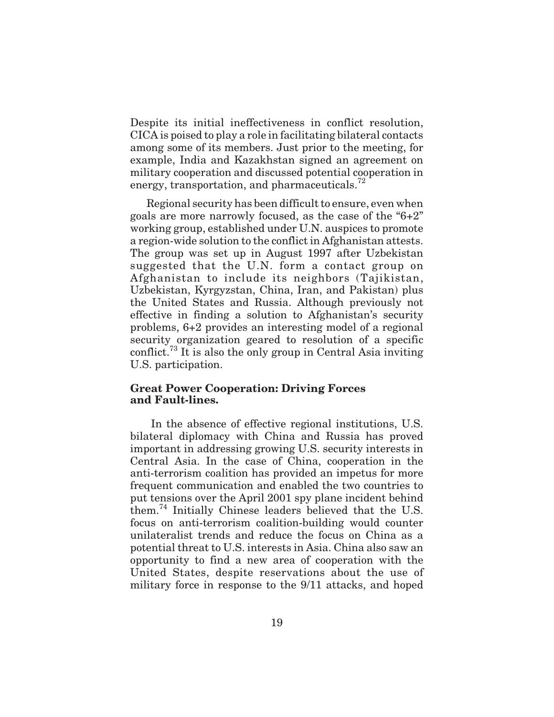Despite its initial ineffectiveness in conflict resolution, CICA is poised to play a role in facilitating bilateral contacts among some of its members. Just prior to the meeting, for example, India and Kazakhstan signed an agreement on military cooperation and discussed potential cooperation in energy, transportation, and pharmaceuticals. $^{72}$ 

Regional security has been difficult to ensure, even when goals are more narrowly focused, as the case of the "6+2" working group, established under U.N. auspices to promote a region-wide solution to the conflict in Afghanistan attests. The group was set up in August 1997 after Uzbekistan suggested that the U.N. form a contact group on Afghanistan to include its neighbors (Tajikistan, Uzbekistan, Kyrgyzstan, China, Iran, and Pakistan) plus the United States and Russia. Although previously not effective in finding a solution to Afghanistan's security problems, 6+2 provides an interesting model of a regional security organization geared to resolution of a specific conflict.<sup>73</sup> It is also the only group in Central Asia inviting U.S. participation.

### **Great Power Cooperation: Driving Forces and Fault-lines.**

In the absence of effective regional institutions, U.S. bilateral diplomacy with China and Russia has proved important in addressing growing U.S. security interests in Central Asia. In the case of China, cooperation in the anti-terrorism coalition has provided an impetus for more frequent communication and enabled the two countries to put tensions over the April 2001 spy plane incident behind them.<sup>74</sup> Initially Chinese leaders believed that the U.S. focus on anti-terrorism coalition-building would counter unilateralist trends and reduce the focus on China as a potential threat to U.S. interests in Asia. China also saw an opportunity to find a new area of cooperation with the United States, despite reservations about the use of military force in response to the 9/11 attacks, and hoped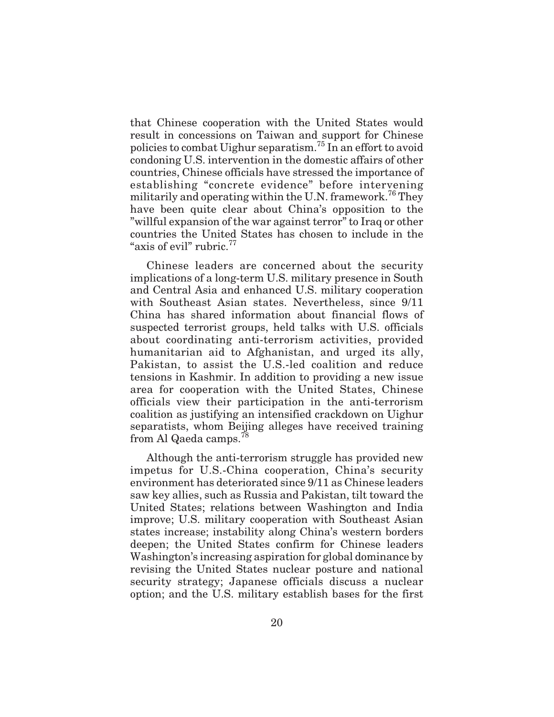that Chinese cooperation with the United States would result in concessions on Taiwan and support for Chinese policies to combat Uighur separatism.75 In an effort to avoid condoning U.S. intervention in the domestic affairs of other countries, Chinese officials have stressed the importance of establishing "concrete evidence" before intervening militarily and operating within the U.N. framework.<sup>76</sup> They have been quite clear about China's opposition to the "willful expansion of the war against terror" to Iraq or other countries the United States has chosen to include in the "axis of evil" rubric.<sup>77</sup>

Chinese leaders are concerned about the security implications of a long-term U.S. military presence in South and Central Asia and enhanced U.S. military cooperation with Southeast Asian states. Nevertheless, since 9/11 China has shared information about financial flows of suspected terrorist groups, held talks with U.S. officials about coordinating anti-terrorism activities, provided humanitarian aid to Afghanistan, and urged its ally, Pakistan, to assist the U.S.-led coalition and reduce tensions in Kashmir. In addition to providing a new issue area for cooperation with the United States, Chinese officials view their participation in the anti-terrorism coalition as justifying an intensified crackdown on Uighur separatists, whom Beijing alleges have received training from Al Qaeda camps.<sup>78</sup>

Although the anti-terrorism struggle has provided new impetus for U.S.-China cooperation, China's security environment has deteriorated since 9/11 as Chinese leaders saw key allies, such as Russia and Pakistan, tilt toward the United States; relations between Washington and India improve; U.S. military cooperation with Southeast Asian states increase; instability along China's western borders deepen; the United States confirm for Chinese leaders Washington's increasing aspiration for global dominance by revising the United States nuclear posture and national security strategy; Japanese officials discuss a nuclear option; and the U.S. military establish bases for the first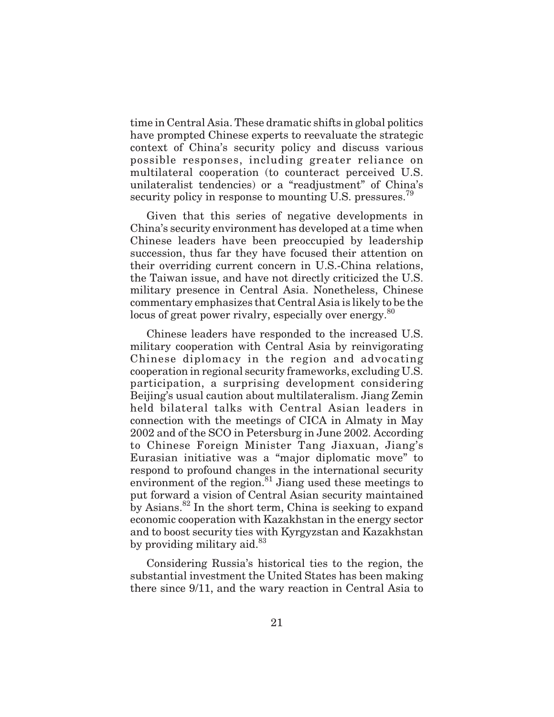time in Central Asia. These dramatic shifts in global politics have prompted Chinese experts to reevaluate the strategic context of China's security policy and discuss various possible responses, including greater reliance on multilateral cooperation (to counteract perceived U.S. unilateralist tendencies) or a "readjustment" of China's security policy in response to mounting U.S. pressures.<sup>79</sup>

Given that this series of negative developments in China's security environment has developed at a time when Chinese leaders have been preoccupied by leadership succession, thus far they have focused their attention on their overriding current concern in U.S.-China relations, the Taiwan issue, and have not directly criticized the U.S. military presence in Central Asia. Nonetheless, Chinese commentary emphasizes that Central Asia is likely to be the locus of great power rivalry, especially over energy.<sup>80</sup>

Chinese leaders have responded to the increased U.S. military cooperation with Central Asia by reinvigorating Chinese diplomacy in the region and advocating cooperation in regional security frameworks, excluding U.S. participation, a surprising development considering Beijing's usual caution about multilateralism. Jiang Zemin held bilateral talks with Central Asian leaders in connection with the meetings of CICA in Almaty in May 2002 and of the SCO in Petersburg in June 2002. According to Chinese Foreign Minister Tang Jiaxuan, Jiang's Eurasian initiative was a "major diplomatic move" to respond to profound changes in the international security environment of the region.<sup>81</sup> Jiang used these meetings to put forward a vision of Central Asian security maintained by Asians.<sup>82</sup> In the short term, China is seeking to expand economic cooperation with Kazakhstan in the energy sector and to boost security ties with Kyrgyzstan and Kazakhstan by providing military aid. $83$ 

Considering Russia's historical ties to the region, the substantial investment the United States has been making there since 9/11, and the wary reaction in Central Asia to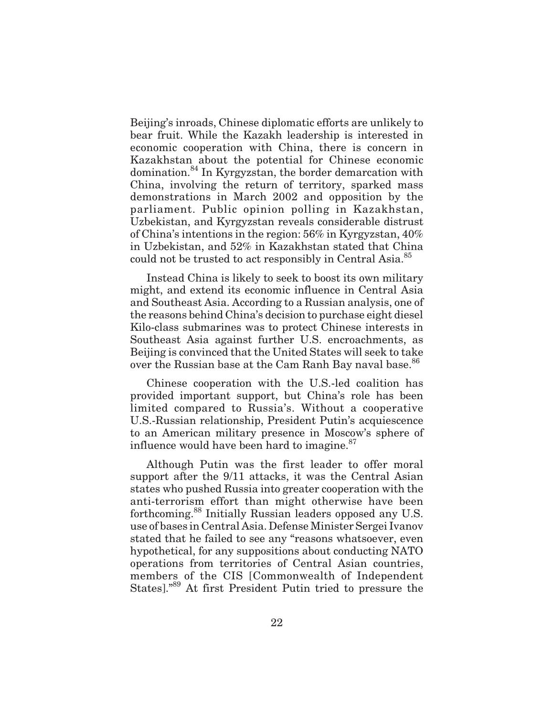Beijing's inroads, Chinese diplomatic efforts are unlikely to bear fruit. While the Kazakh leadership is interested in economic cooperation with China, there is concern in Kazakhstan about the potential for Chinese economic domination.<sup>84</sup> In Kyrgyzstan, the border demarcation with China, involving the return of territory, sparked mass demonstrations in March 2002 and opposition by the parliament. Public opinion polling in Kazakhstan, Uzbekistan, and Kyrgyzstan reveals considerable distrust of China's intentions in the region: 56% in Kyrgyzstan, 40% in Uzbekistan, and 52% in Kazakhstan stated that China could not be trusted to act responsibly in Central Asia.<sup>85</sup>

Instead China is likely to seek to boost its own military might, and extend its economic influence in Central Asia and Southeast Asia. According to a Russian analysis, one of the reasons behind China's decision to purchase eight diesel Kilo-class submarines was to protect Chinese interests in Southeast Asia against further U.S. encroachments, as Beijing is convinced that the United States will seek to take over the Russian base at the Cam Ranh Bay naval base.<sup>86</sup>

Chinese cooperation with the U.S.-led coalition has provided important support, but China's role has been limited compared to Russia's. Without a cooperative U.S.-Russian relationship, President Putin's acquiescence to an American military presence in Moscow's sphere of influence would have been hard to imagine. $87$ 

Although Putin was the first leader to offer moral support after the 9/11 attacks, it was the Central Asian states who pushed Russia into greater cooperation with the anti-terrorism effort than might otherwise have been forthcoming.<sup>88</sup> Initially Russian leaders opposed any U.S. use of bases in Central Asia. Defense Minister Sergei Ivanov stated that he failed to see any "reasons whatsoever, even hypothetical, for any suppositions about conducting NATO operations from territories of Central Asian countries, members of the CIS [Commonwealth of Independent States]."<sup>89</sup> At first President Putin tried to pressure the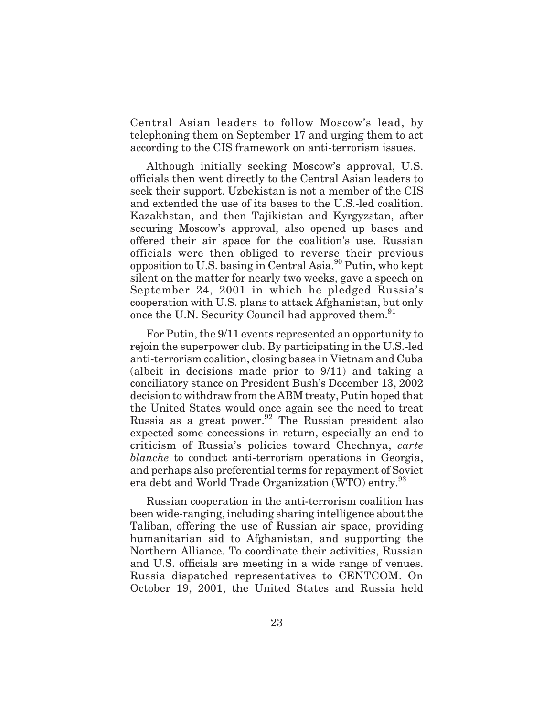Central Asian leaders to follow Moscow's lead, by telephoning them on September 17 and urging them to act according to the CIS framework on anti-terrorism issues.

Although initially seeking Moscow's approval, U.S. officials then went directly to the Central Asian leaders to seek their support. Uzbekistan is not a member of the CIS and extended the use of its bases to the U.S.-led coalition. Kazakhstan, and then Tajikistan and Kyrgyzstan, after securing Moscow's approval, also opened up bases and offered their air space for the coalition's use. Russian officials were then obliged to reverse their previous opposition to U.S. basing in Central Asia.90 Putin, who kept silent on the matter for nearly two weeks, gave a speech on September 24, 2001 in which he pledged Russia's cooperation with U.S. plans to attack Afghanistan, but only once the U.N. Security Council had approved them.<sup>91</sup>

For Putin, the 9/11 events represented an opportunity to rejoin the superpower club. By participating in the U.S.-led anti-terrorism coalition, closing bases in Vietnam and Cuba (albeit in decisions made prior to 9/11) and taking a conciliatory stance on President Bush's December 13, 2002 decision to withdraw from the ABM treaty, Putin hoped that the United States would once again see the need to treat Russia as a great power.92 The Russian president also expected some concessions in return, especially an end to criticism of Russia's policies toward Chechnya, *carte blanche* to conduct anti-terrorism operations in Georgia, and perhaps also preferential terms for repayment of Soviet era debt and World Trade Organization (WTO) entry.<sup>93</sup>

Russian cooperation in the anti-terrorism coalition has been wide-ranging, including sharing intelligence about the Taliban, offering the use of Russian air space, providing humanitarian aid to Afghanistan, and supporting the Northern Alliance. To coordinate their activities, Russian and U.S. officials are meeting in a wide range of venues. Russia dispatched representatives to CENTCOM. On October 19, 2001, the United States and Russia held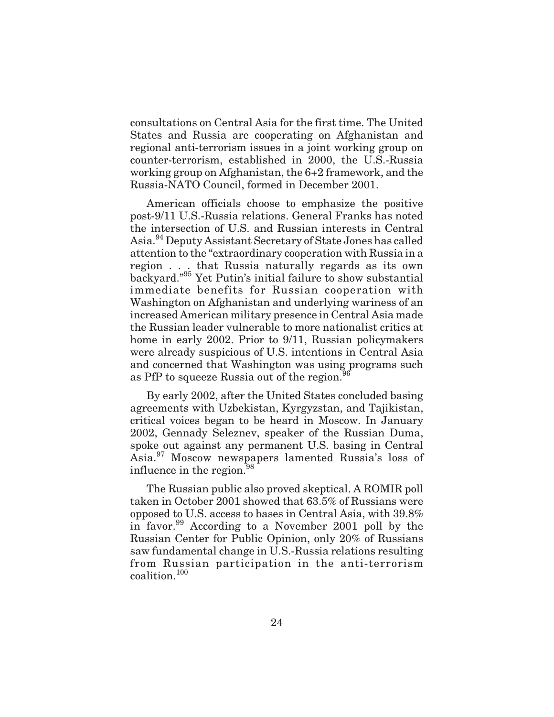consultations on Central Asia for the first time. The United States and Russia are cooperating on Afghanistan and regional anti-terrorism issues in a joint working group on counter-terrorism, established in 2000, the U.S.-Russia working group on Afghanistan, the 6+2 framework, and the Russia-NATO Council, formed in December 2001.

American officials choose to emphasize the positive post-9/11 U.S.-Russia relations. General Franks has noted the intersection of U.S. and Russian interests in Central Asia.<sup>94</sup> Deputy Assistant Secretary of State Jones has called attention to the "extraordinary cooperation with Russia in a region... that Russia naturally regards as its own backyard."<sup>95</sup> Yet Putin's initial failure to show substantial immediate benefits for Russian cooperation with Washington on Afghanistan and underlying wariness of an increased American military presence in Central Asia made the Russian leader vulnerable to more nationalist critics at home in early 2002. Prior to 9/11, Russian policymakers were already suspicious of U.S. intentions in Central Asia and concerned that Washington was using programs such as PfP to squeeze Russia out of the region.<sup>9</sup>

By early 2002, after the United States concluded basing agreements with Uzbekistan, Kyrgyzstan, and Tajikistan, critical voices began to be heard in Moscow. In January 2002, Gennady Seleznev, speaker of the Russian Duma, spoke out against any permanent U.S. basing in Central Asia.<sup>97</sup> Moscow newspapers lamented Russia's loss of influence in the region.<sup>98</sup>

The Russian public also proved skeptical. A ROMIR poll taken in October 2001 showed that 63.5% of Russians were opposed to U.S. access to bases in Central Asia, with 39.8% in favor.<sup>99</sup> According to a November 2001 poll by the Russian Center for Public Opinion, only 20% of Russians saw fundamental change in U.S.-Russia relations resulting from Russian participation in the anti-terrorism coalition.<sup>100</sup>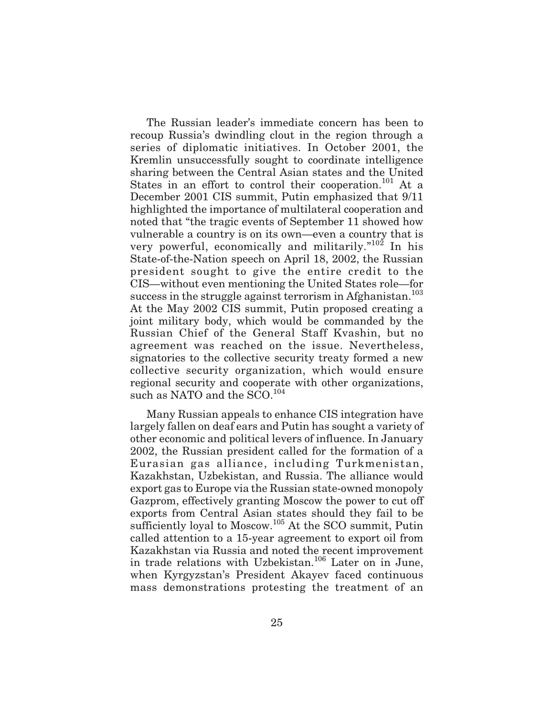The Russian leader's immediate concern has been to recoup Russia's dwindling clout in the region through a series of diplomatic initiatives. In October 2001, the Kremlin unsuccessfully sought to coordinate intelligence sharing between the Central Asian states and the United States in an effort to control their cooperation.<sup>101</sup> At a December 2001 CIS summit, Putin emphasized that 9/11 highlighted the importance of multilateral cooperation and noted that "the tragic events of September 11 showed how vulnerable a country is on its own—even a country that is very powerful, economically and militarily." $10^{2}$  In his State-of-the-Nation speech on April 18, 2002, the Russian president sought to give the entire credit to the CIS—without even mentioning the United States role—for success in the struggle against terrorism in Afghanistan.<sup>103</sup> At the May 2002 CIS summit, Putin proposed creating a joint military body, which would be commanded by the Russian Chief of the General Staff Kvashin, but no agreement was reached on the issue. Nevertheless, signatories to the collective security treaty formed a new collective security organization, which would ensure regional security and cooperate with other organizations, such as NATO and the SCO.<sup>104</sup>

Many Russian appeals to enhance CIS integration have largely fallen on deaf ears and Putin has sought a variety of other economic and political levers of influence. In January 2002, the Russian president called for the formation of a Eurasian gas alliance, including Turkmenistan, Kazakhstan, Uzbekistan, and Russia. The alliance would export gas to Europe via the Russian state-owned monopoly Gazprom, effectively granting Moscow the power to cut off exports from Central Asian states should they fail to be sufficiently loyal to Moscow.<sup>105</sup> At the SCO summit, Putin called attention to a 15-year agreement to export oil from Kazakhstan via Russia and noted the recent improvement in trade relations with Uzbekistan.106 Later on in June, when Kyrgyzstan's President Akayev faced continuous mass demonstrations protesting the treatment of an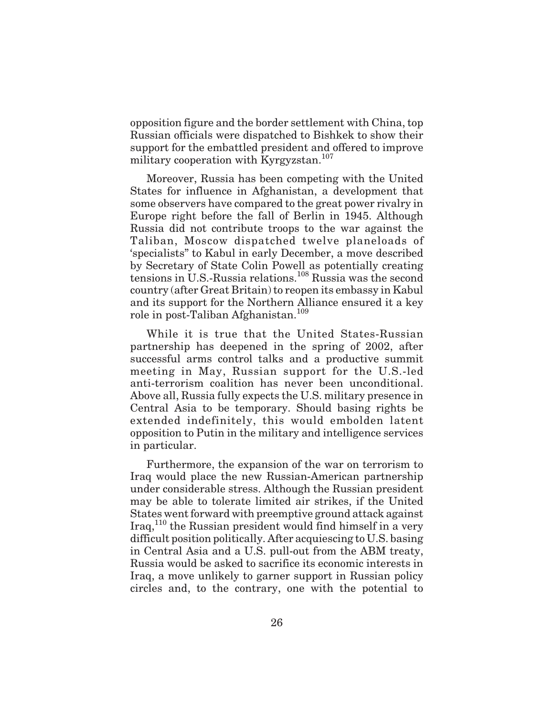opposition figure and the border settlement with China, top Russian officials were dispatched to Bishkek to show their support for the embattled president and offered to improve military cooperation with Kyrgyzstan.<sup>107</sup>

Moreover, Russia has been competing with the United States for influence in Afghanistan, a development that some observers have compared to the great power rivalry in Europe right before the fall of Berlin in 1945. Although Russia did not contribute troops to the war against the Taliban, Moscow dispatched twelve planeloads of 'specialists" to Kabul in early December, a move described by Secretary of State Colin Powell as potentially creating tensions in U.S.-Russia relations.<sup>108</sup> Russia was the second country (after Great Britain) to reopen its embassy in Kabul and its support for the Northern Alliance ensured it a key role in post-Taliban Afghanistan.<sup>109</sup>

While it is true that the United States-Russian partnership has deepened in the spring of 2002, after successful arms control talks and a productive summit meeting in May, Russian support for the U.S.-led anti-terrorism coalition has never been unconditional. Above all, Russia fully expects the U.S. military presence in Central Asia to be temporary. Should basing rights be extended indefinitely, this would embolden latent opposition to Putin in the military and intelligence services in particular.

Furthermore, the expansion of the war on terrorism to Iraq would place the new Russian-American partnership under considerable stress. Although the Russian president may be able to tolerate limited air strikes, if the United States went forward with preemptive ground attack against Iraq,110 the Russian president would find himself in a very difficult position politically. After acquiescing to U.S. basing in Central Asia and a U.S. pull-out from the ABM treaty, Russia would be asked to sacrifice its economic interests in Iraq, a move unlikely to garner support in Russian policy circles and, to the contrary, one with the potential to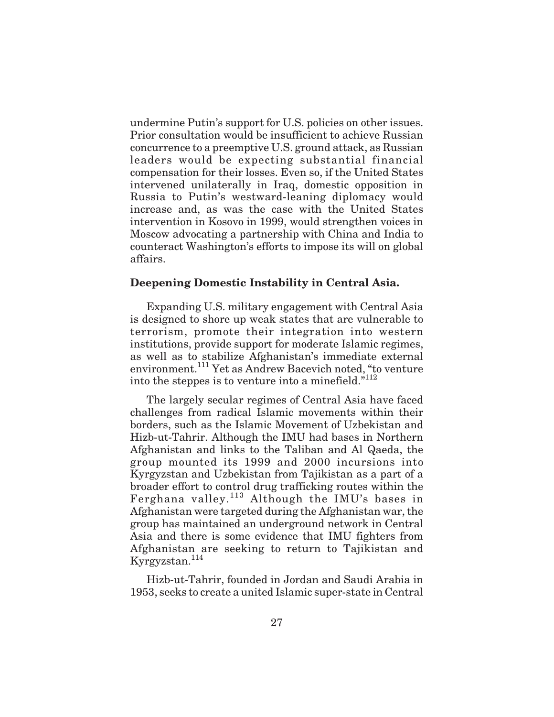undermine Putin's support for U.S. policies on other issues. Prior consultation would be insufficient to achieve Russian concurrence to a preemptive U.S. ground attack, as Russian leaders would be expecting substantial financial compensation for their losses. Even so, if the United States intervened unilaterally in Iraq, domestic opposition in Russia to Putin's westward-leaning diplomacy would increase and, as was the case with the United States intervention in Kosovo in 1999, would strengthen voices in Moscow advocating a partnership with China and India to counteract Washington's efforts to impose its will on global affairs.

#### **Deepening Domestic Instability in Central Asia.**

Expanding U.S. military engagement with Central Asia is designed to shore up weak states that are vulnerable to terrorism, promote their integration into western institutions, provide support for moderate Islamic regimes, as well as to stabilize Afghanistan's immediate external environment.<sup>111</sup> Yet as Andrew Bacevich noted, "to venture into the steppes is to venture into a minefield."<sup>112</sup>

The largely secular regimes of Central Asia have faced challenges from radical Islamic movements within their borders, such as the Islamic Movement of Uzbekistan and Hizb-ut-Tahrir. Although the IMU had bases in Northern Afghanistan and links to the Taliban and Al Qaeda, the group mounted its 1999 and 2000 incursions into Kyrgyzstan and Uzbekistan from Tajikistan as a part of a broader effort to control drug trafficking routes within the Ferghana valley.<sup>113</sup> Although the IMU's bases in Afghanistan were targeted during the Afghanistan war, the group has maintained an underground network in Central Asia and there is some evidence that IMU fighters from Afghanistan are seeking to return to Tajikistan and Kyrgyzstan.<sup>114</sup>

Hizb-ut-Tahrir, founded in Jordan and Saudi Arabia in 1953, seeks to create a united Islamic super-state in Central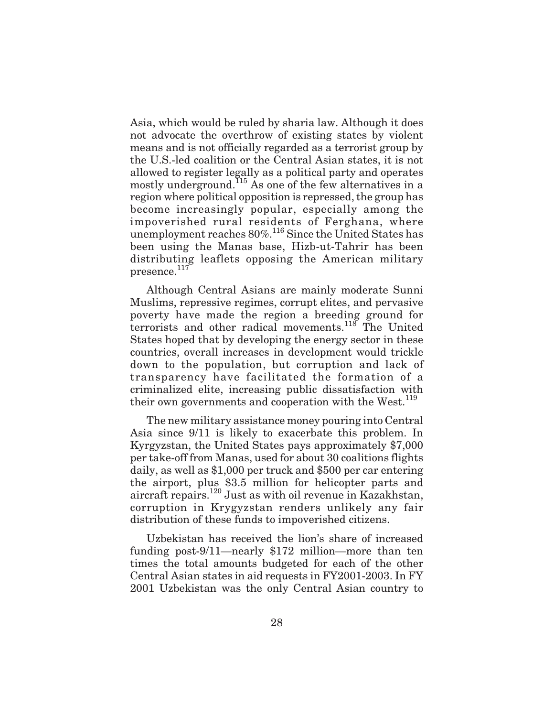Asia, which would be ruled by sharia law. Although it does not advocate the overthrow of existing states by violent means and is not officially regarded as a terrorist group by the U.S.-led coalition or the Central Asian states, it is not allowed to register legally as a political party and operates mostly underground.<sup>115</sup> As one of the few alternatives in a region where political opposition is repressed, the group has become increasingly popular, especially among the impoverished rural residents of Ferghana, where unemployment reaches  $80\%$ .<sup>116</sup> Since the United States has been using the Manas base, Hizb-ut-Tahrir has been distributing leaflets opposing the American military presence.<sup>117</sup>

Although Central Asians are mainly moderate Sunni Muslims, repressive regimes, corrupt elites, and pervasive poverty have made the region a breeding ground for terrorists and other radical movements.<sup>118</sup> The United States hoped that by developing the energy sector in these countries, overall increases in development would trickle down to the population, but corruption and lack of transparency have facilitated the formation of a criminalized elite, increasing public dissatisfaction with their own governments and cooperation with the West.<sup>119</sup>

The new military assistance money pouring into Central Asia since 9/11 is likely to exacerbate this problem. In Kyrgyzstan, the United States pays approximately \$7,000 per take-off from Manas, used for about 30 coalitions flights daily, as well as \$1,000 per truck and \$500 per car entering the airport, plus \$3.5 million for helicopter parts and aircraft repairs.<sup>120</sup> Just as with oil revenue in Kazakhstan, corruption in Krygyzstan renders unlikely any fair distribution of these funds to impoverished citizens.

Uzbekistan has received the lion's share of increased funding post-9/11—nearly \$172 million—more than ten times the total amounts budgeted for each of the other Central Asian states in aid requests in FY2001-2003. In FY 2001 Uzbekistan was the only Central Asian country to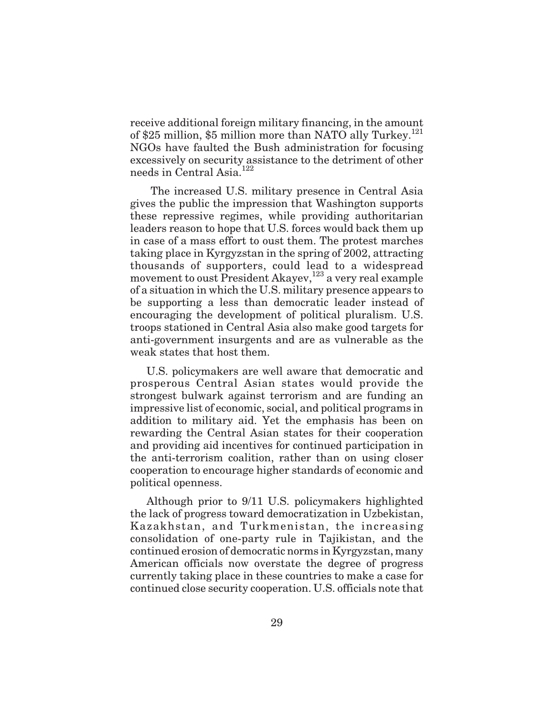receive additional foreign military financing, in the amount of \$25 million, \$5 million more than NATO ally Turkey.<sup>121</sup> NGOs have faulted the Bush administration for focusing excessively on security assistance to the detriment of other needs in Central Asia.<sup>122</sup>

The increased U.S. military presence in Central Asia gives the public the impression that Washington supports these repressive regimes, while providing authoritarian leaders reason to hope that U.S. forces would back them up in case of a mass effort to oust them. The protest marches taking place in Kyrgyzstan in the spring of 2002, attracting thousands of supporters, could lead to a widespread movement to oust President Akayev,<sup>123</sup> a very real example of a situation in which the U.S. military presence appears to be supporting a less than democratic leader instead of encouraging the development of political pluralism. U.S. troops stationed in Central Asia also make good targets for anti-government insurgents and are as vulnerable as the weak states that host them.

U.S. policymakers are well aware that democratic and prosperous Central Asian states would provide the strongest bulwark against terrorism and are funding an impressive list of economic, social, and political programs in addition to military aid. Yet the emphasis has been on rewarding the Central Asian states for their cooperation and providing aid incentives for continued participation in the anti-terrorism coalition, rather than on using closer cooperation to encourage higher standards of economic and political openness.

Although prior to 9/11 U.S. policymakers highlighted the lack of progress toward democratization in Uzbekistan, Kazakhstan, and Turkmenistan, the increasing consolidation of one-party rule in Tajikistan, and the continued erosion of democratic norms in Kyrgyzstan, many American officials now overstate the degree of progress currently taking place in these countries to make a case for continued close security cooperation. U.S. officials note that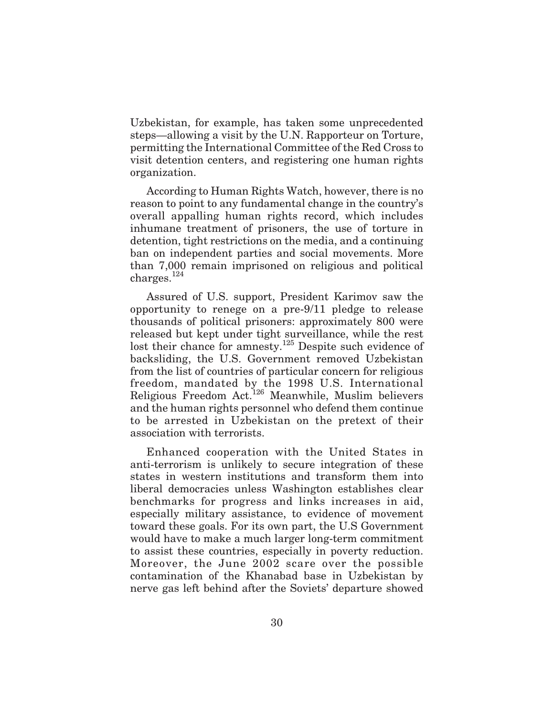Uzbekistan, for example, has taken some unprecedented steps—allowing a visit by the U.N. Rapporteur on Torture, permitting the International Committee of the Red Cross to visit detention centers, and registering one human rights organization.

According to Human Rights Watch, however, there is no reason to point to any fundamental change in the country's overall appalling human rights record, which includes inhumane treatment of prisoners, the use of torture in detention, tight restrictions on the media, and a continuing ban on independent parties and social movements. More than 7,000 remain imprisoned on religious and political charges. $^{124}$ 

Assured of U.S. support, President Karimov saw the opportunity to renege on a pre-9/11 pledge to release thousands of political prisoners: approximately 800 were released but kept under tight surveillance, while the rest lost their chance for amnesty.<sup>125</sup> Despite such evidence of backsliding, the U.S. Government removed Uzbekistan from the list of countries of particular concern for religious freedom, mandated by the 1998 U.S. International Religious Freedom Act.126 Meanwhile, Muslim believers and the human rights personnel who defend them continue to be arrested in Uzbekistan on the pretext of their association with terrorists.

Enhanced cooperation with the United States in anti-terrorism is unlikely to secure integration of these states in western institutions and transform them into liberal democracies unless Washington establishes clear benchmarks for progress and links increases in aid, especially military assistance, to evidence of movement toward these goals. For its own part, the U.S Government would have to make a much larger long-term commitment to assist these countries, especially in poverty reduction. Moreover, the June 2002 scare over the possible contamination of the Khanabad base in Uzbekistan by nerve gas left behind after the Soviets' departure showed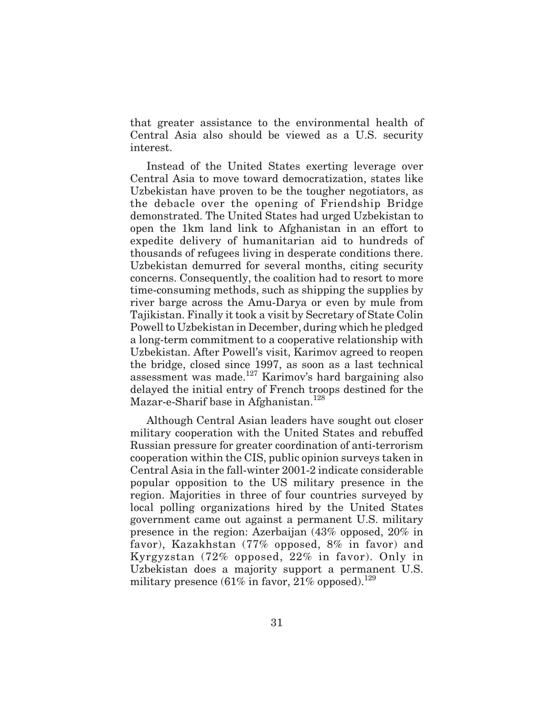that greater assistance to the environmental health of Central Asia also should be viewed as a U.S. security interest.

Instead of the United States exerting leverage over Central Asia to move toward democratization, states like Uzbekistan have proven to be the tougher negotiators, as the debacle over the opening of Friendship Bridge demonstrated. The United States had urged Uzbekistan to open the 1km land link to Afghanistan in an effort to expedite delivery of humanitarian aid to hundreds of thousands of refugees living in desperate conditions there. Uzbekistan demurred for several months, citing security concerns. Consequently, the coalition had to resort to more time-consuming methods, such as shipping the supplies by river barge across the Amu-Darya or even by mule from Tajikistan. Finally it took a visit by Secretary of State Colin Powell to Uzbekistan in December, during which he pledged a long-term commitment to a cooperative relationship with Uzbekistan. After Powell's visit, Karimov agreed to reopen the bridge, closed since 1997, as soon as a last technical assessment was made.127 Karimov's hard bargaining also delayed the initial entry of French troops destined for the Mazar-e-Sharif base in Afghanistan.<sup>128</sup>

Although Central Asian leaders have sought out closer military cooperation with the United States and rebuffed Russian pressure for greater coordination of anti-terrorism cooperation within the CIS, public opinion surveys taken in Central Asia in the fall-winter 2001-2 indicate considerable popular opposition to the US military presence in the region. Majorities in three of four countries surveyed by local polling organizations hired by the United States government came out against a permanent U.S. military presence in the region: Azerbaijan (43% opposed, 20% in favor), Kazakhstan (77% opposed, 8% in favor) and Kyrgyzstan (72% opposed, 22% in favor). Only in Uzbekistan does a majority support a permanent U.S. military presence  $(61\% \text{ in favor}, 21\% \text{ opposed})$ .<sup>129</sup>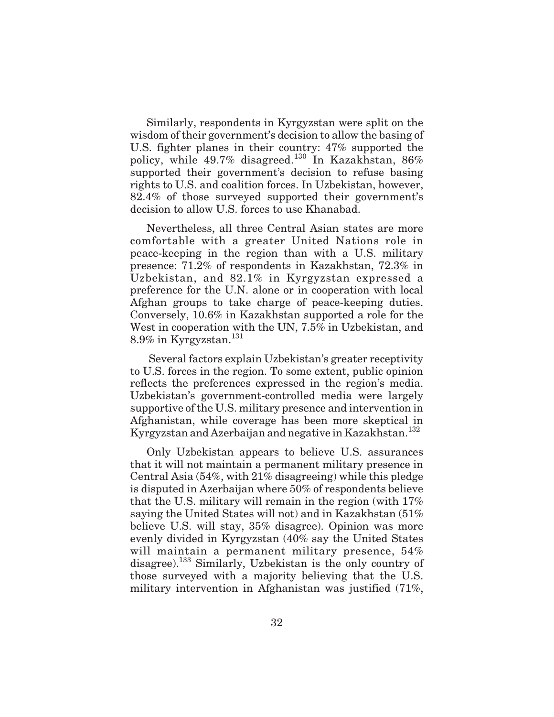Similarly, respondents in Kyrgyzstan were split on the wisdom of their government's decision to allow the basing of U.S. fighter planes in their country: 47% supported the policy, while  $49.7\%$  disagreed.<sup>130</sup> In Kazakhstan, 86% supported their government's decision to refuse basing rights to U.S. and coalition forces. In Uzbekistan, however, 82.4% of those surveyed supported their government's decision to allow U.S. forces to use Khanabad.

Nevertheless, all three Central Asian states are more comfortable with a greater United Nations role in peace-keeping in the region than with a U.S. military presence: 71.2% of respondents in Kazakhstan, 72.3% in Uzbekistan, and 82.1% in Kyrgyzstan expressed a preference for the U.N. alone or in cooperation with local Afghan groups to take charge of peace-keeping duties. Conversely, 10.6% in Kazakhstan supported a role for the West in cooperation with the UN, 7.5% in Uzbekistan, and  $8.9\%$  in Kyrgyzstan. $^{131}$ 

Several factors explain Uzbekistan's greater receptivity to U.S. forces in the region. To some extent, public opinion reflects the preferences expressed in the region's media. Uzbekistan's government-controlled media were largely supportive of the U.S. military presence and intervention in Afghanistan, while coverage has been more skeptical in Kyrgyzstan and Azerbaijan and negative in Kazakhstan.<sup>132</sup>

Only Uzbekistan appears to believe U.S. assurances that it will not maintain a permanent military presence in Central Asia (54%, with 21% disagreeing) while this pledge is disputed in Azerbaijan where 50% of respondents believe that the U.S. military will remain in the region (with 17% saying the United States will not) and in Kazakhstan (51% believe U.S. will stay, 35% disagree). Opinion was more evenly divided in Kyrgyzstan (40% say the United States will maintain a permanent military presence, 54% disagree).<sup>133</sup> Similarly, Uzbekistan is the only country of those surveyed with a majority believing that the U.S. military intervention in Afghanistan was justified (71%,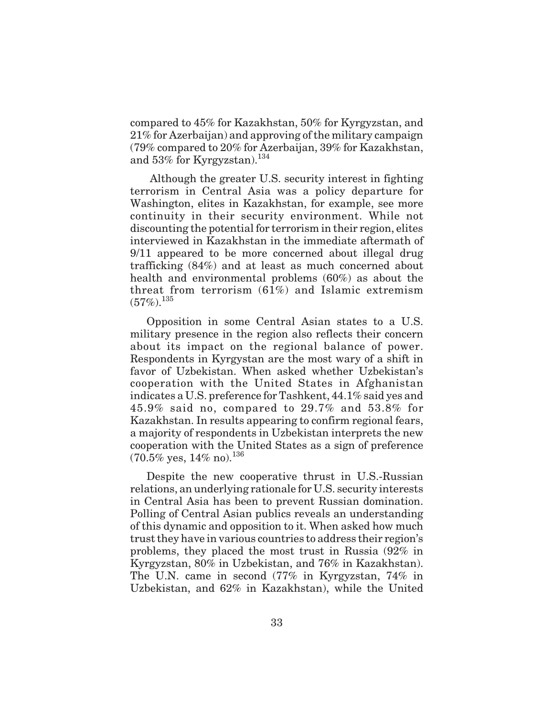compared to 45% for Kazakhstan, 50% for Kyrgyzstan, and 21% for Azerbaijan) and approving of the military campaign (79% compared to 20% for Azerbaijan, 39% for Kazakhstan, and  $53\%$  for Kyrgyzstan).<sup>134</sup>

Although the greater U.S. security interest in fighting terrorism in Central Asia was a policy departure for Washington, elites in Kazakhstan, for example, see more continuity in their security environment. While not discounting the potential for terrorism in their region, elites interviewed in Kazakhstan in the immediate aftermath of 9/11 appeared to be more concerned about illegal drug trafficking (84%) and at least as much concerned about health and environmental problems (60%) as about the threat from terrorism (61%) and Islamic extremism  $(57\%)$ <sup>135</sup>

Opposition in some Central Asian states to a U.S. military presence in the region also reflects their concern about its impact on the regional balance of power. Respondents in Kyrgystan are the most wary of a shift in favor of Uzbekistan. When asked whether Uzbekistan's cooperation with the United States in Afghanistan indicates a U.S. preference for Tashkent, 44.1% said yes and 45.9% said no, compared to 29.7% and 53.8% for Kazakhstan. In results appearing to confirm regional fears, a majority of respondents in Uzbekistan interprets the new cooperation with the United States as a sign of preference  $(70.5\% \text{ yes}, 14\% \text{ no})$ .<sup>136</sup>

Despite the new cooperative thrust in U.S.-Russian relations, an underlying rationale for U.S. security interests in Central Asia has been to prevent Russian domination. Polling of Central Asian publics reveals an understanding of this dynamic and opposition to it. When asked how much trust they have in various countries to address their region's problems, they placed the most trust in Russia (92% in Kyrgyzstan, 80% in Uzbekistan, and 76% in Kazakhstan). The U.N. came in second (77% in Kyrgyzstan, 74% in Uzbekistan, and 62% in Kazakhstan), while the United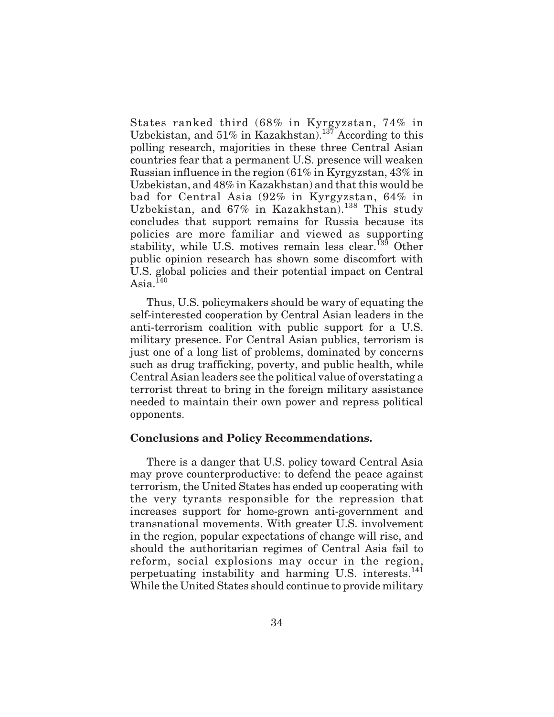States ranked third (68% in Kyrgyzstan, 74% in Uzbekistan, and  $51\%$  in Kazakhstan).<sup>137</sup> According to this polling research, majorities in these three Central Asian countries fear that a permanent U.S. presence will weaken Russian influence in the region (61% in Kyrgyzstan, 43% in Uzbekistan, and 48% in Kazakhstan) and that this would be bad for Central Asia (92% in Kyrgyzstan, 64% in Uzbekistan, and  $67\%$  in Kazakhstan).<sup>138</sup> This study concludes that support remains for Russia because its policies are more familiar and viewed as supporting stability, while U.S. motives remain less clear.<sup>139</sup> Other public opinion research has shown some discomfort with U.S. global policies and their potential impact on Central Asia. $^{I40}$ 

Thus, U.S. policymakers should be wary of equating the self-interested cooperation by Central Asian leaders in the anti-terrorism coalition with public support for a U.S. military presence. For Central Asian publics, terrorism is just one of a long list of problems, dominated by concerns such as drug trafficking, poverty, and public health, while Central Asian leaders see the political value of overstating a terrorist threat to bring in the foreign military assistance needed to maintain their own power and repress political opponents.

#### **Conclusions and Policy Recommendations.**

There is a danger that U.S. policy toward Central Asia may prove counterproductive: to defend the peace against terrorism, the United States has ended up cooperating with the very tyrants responsible for the repression that increases support for home-grown anti-government and transnational movements. With greater U.S. involvement in the region, popular expectations of change will rise, and should the authoritarian regimes of Central Asia fail to reform, social explosions may occur in the region, perpetuating instability and harming U.S. interests.<sup>141</sup> While the United States should continue to provide military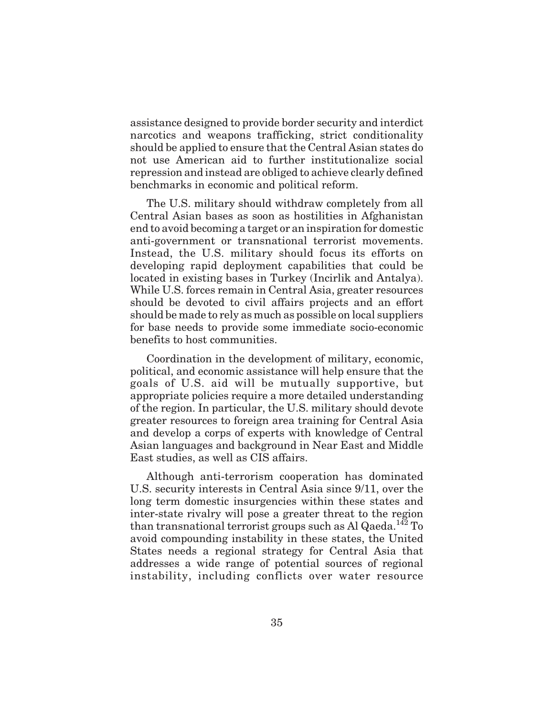assistance designed to provide border security and interdict narcotics and weapons trafficking, strict conditionality should be applied to ensure that the Central Asian states do not use American aid to further institutionalize social repression and instead are obliged to achieve clearly defined benchmarks in economic and political reform.

The U.S. military should withdraw completely from all Central Asian bases as soon as hostilities in Afghanistan end to avoid becoming a target or an inspiration for domestic anti-government or transnational terrorist movements. Instead, the U.S. military should focus its efforts on developing rapid deployment capabilities that could be located in existing bases in Turkey (Incirlik and Antalya). While U.S. forces remain in Central Asia, greater resources should be devoted to civil affairs projects and an effort should be made to rely as much as possible on local suppliers for base needs to provide some immediate socio-economic benefits to host communities.

Coordination in the development of military, economic, political, and economic assistance will help ensure that the goals of U.S. aid will be mutually supportive, but appropriate policies require a more detailed understanding of the region. In particular, the U.S. military should devote greater resources to foreign area training for Central Asia and develop a corps of experts with knowledge of Central Asian languages and background in Near East and Middle East studies, as well as CIS affairs.

Although anti-terrorism cooperation has dominated U.S. security interests in Central Asia since 9/11, over the long term domestic insurgencies within these states and inter-state rivalry will pose a greater threat to the region than transnational terrorist groups such as Al Qaeda.<sup>142</sup> To avoid compounding instability in these states, the United States needs a regional strategy for Central Asia that addresses a wide range of potential sources of regional instability, including conflicts over water resource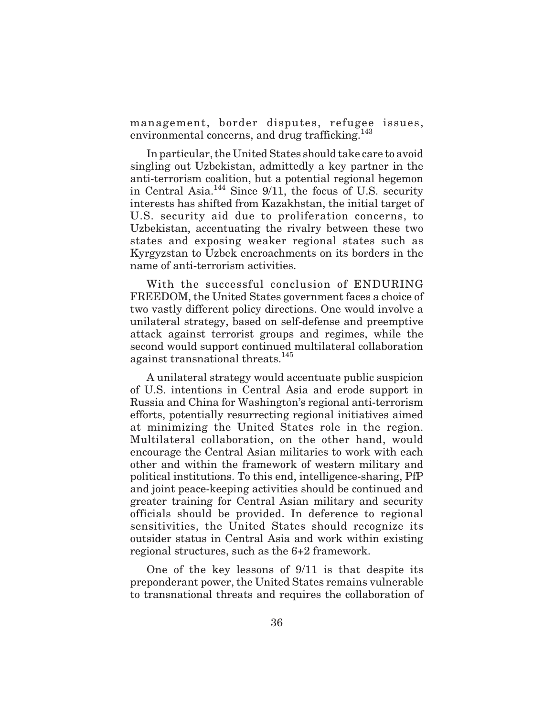management, border disputes, refugee issues, environmental concerns, and drug trafficking.<sup>143</sup>

In particular, the United States should take care to avoid singling out Uzbekistan, admittedly a key partner in the anti-terrorism coalition, but a potential regional hegemon in Central Asia.144 Since 9/11, the focus of U.S. security interests has shifted from Kazakhstan, the initial target of U.S. security aid due to proliferation concerns, to Uzbekistan, accentuating the rivalry between these two states and exposing weaker regional states such as Kyrgyzstan to Uzbek encroachments on its borders in the name of anti-terrorism activities.

With the successful conclusion of ENDURING FREEDOM, the United States government faces a choice of two vastly different policy directions. One would involve a unilateral strategy, based on self-defense and preemptive attack against terrorist groups and regimes, while the second would support continued multilateral collaboration against transnational threats.<sup>145</sup>

A unilateral strategy would accentuate public suspicion of U.S. intentions in Central Asia and erode support in Russia and China for Washington's regional anti-terrorism efforts, potentially resurrecting regional initiatives aimed at minimizing the United States role in the region. Multilateral collaboration, on the other hand, would encourage the Central Asian militaries to work with each other and within the framework of western military and political institutions. To this end, intelligence-sharing, PfP and joint peace-keeping activities should be continued and greater training for Central Asian military and security officials should be provided. In deference to regional sensitivities, the United States should recognize its outsider status in Central Asia and work within existing regional structures, such as the 6+2 framework.

One of the key lessons of 9/11 is that despite its preponderant power, the United States remains vulnerable to transnational threats and requires the collaboration of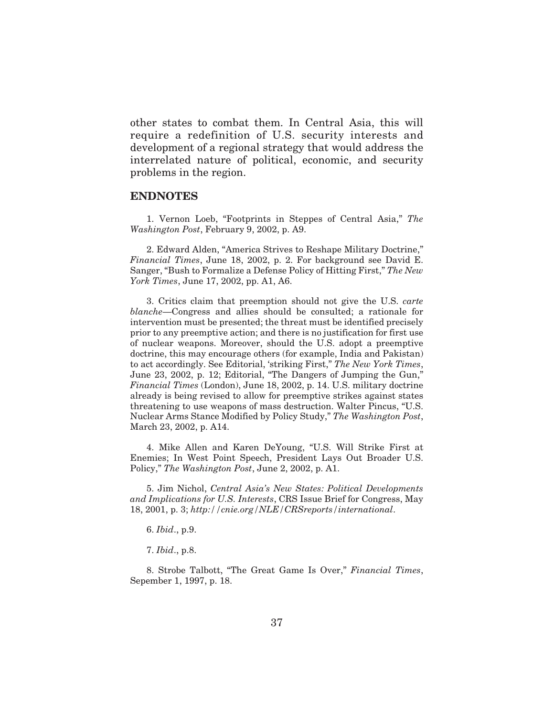other states to combat them. In Central Asia, this will require a redefinition of U.S. security interests and development of a regional strategy that would address the interrelated nature of political, economic, and security problems in the region.

#### **ENDNOTES**

1. Vernon Loeb, "Footprints in Steppes of Central Asia," *The Washington Post*, February 9, 2002, p. A9.

2. Edward Alden, "America Strives to Reshape Military Doctrine," *Financial Times*, June 18, 2002, p. 2. For background see David E. Sanger, "Bush to Formalize a Defense Policy of Hitting First," *The New York Times*, June 17, 2002, pp. A1, A6.

3. Critics claim that preemption should not give the U.S. *carte blanche*—Congress and allies should be consulted; a rationale for intervention must be presented; the threat must be identified precisely prior to any preemptive action; and there is no justification for first use of nuclear weapons. Moreover, should the U.S. adopt a preemptive doctrine, this may encourage others (for example, India and Pakistan) to act accordingly. See Editorial, 'striking First," *The New York Times*, June 23, 2002, p. 12; Editorial, "The Dangers of Jumping the Gun," *Financial Times* (London), June 18, 2002, p. 14. U.S. military doctrine already is being revised to allow for preemptive strikes against states threatening to use weapons of mass destruction. Walter Pincus, "U.S. Nuclear Arms Stance Modified by Policy Study," *The Washington Post*, March 23, 2002, p. A14.

4. Mike Allen and Karen DeYoung, "U.S. Will Strike First at Enemies; In West Point Speech, President Lays Out Broader U.S. Policy," *The Washington Post*, June 2, 2002, p. A1.

5. Jim Nichol, *Central Asia's New States: Political Developments and Implications for U.S. Interests*, CRS Issue Brief for Congress, May 18, 2001, p. 3; *http://cnie.org/NLE/CRSreports/international*.

6. *Ibid*., p.9.

7. *Ibid*., p.8.

8. Strobe Talbott, "The Great Game Is Over," *Financial Times*, Sepember 1, 1997, p. 18.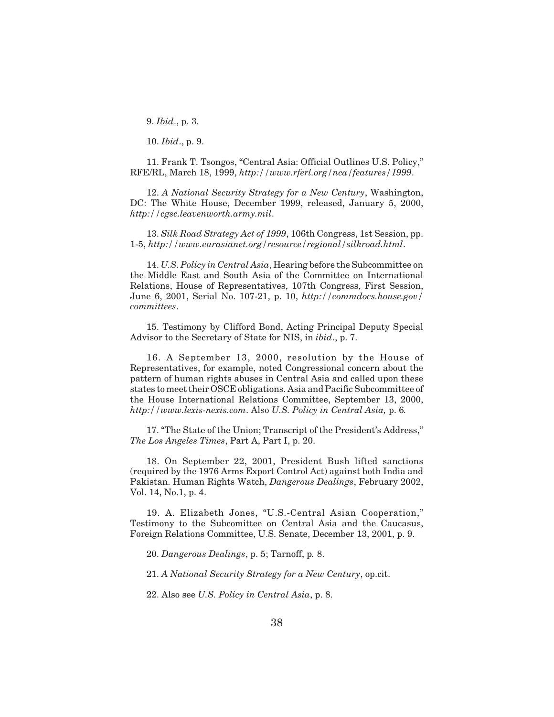9. *Ibid*., p. 3.

10. *Ibid*., p. 9.

11. Frank T. Tsongos, "Central Asia: Official Outlines U.S. Policy," RFE/RL, March 18, 1999, *http://www.rferl.org/nca/features/1999*.

12. *A National Security Strategy for a New Century*, Washington, DC: The White House, December 1999, released, January 5, 2000, *http://cgsc.leavenworth.army.mil*.

13. *Silk Road Strategy Act of 1999*, 106th Congress, 1st Session, pp. 1-5, *http://www.eurasianet.org/resource/regional/silkroad.html*.

14. *U.S. Policy in Central Asia*, Hearing before the Subcommittee on the Middle East and South Asia of the Committee on International Relations, House of Representatives, 107th Congress, First Session, June 6, 2001, Serial No. 107-21, p. 10, *http://commdocs.house.gov/ committees*.

15. Testimony by Clifford Bond, Acting Principal Deputy Special Advisor to the Secretary of State for NIS, in *ibid*., p. 7.

16. A September 13, 2000, resolution by the House of Representatives, for example, noted Congressional concern about the pattern of human rights abuses in Central Asia and called upon these states to meet their OSCE obligations. Asia and Pacific Subcommittee of the House International Relations Committee, September 13, 2000, *http://www.lexis-nexis.com*. Also *U.S. Policy in Central Asia,* p. 6*.*

17. "The State of the Union; Transcript of the President's Address," *The Los Angeles Times*, Part A, Part I, p. 20.

18. On September 22, 2001, President Bush lifted sanctions (required by the 1976 Arms Export Control Act) against both India and Pakistan. Human Rights Watch, *Dangerous Dealings*, February 2002, Vol. 14, No.1, p. 4.

19. A. Elizabeth Jones, "U.S.-Central Asian Cooperation," Testimony to the Subcomittee on Central Asia and the Caucasus, Foreign Relations Committee, U.S. Senate, December 13, 2001, p. 9.

20. *Dangerous Dealings*, p. 5; Tarnoff, p*.* 8.

21. *A National Security Strategy for a New Century*, op.cit.

22. Also see *U.S. Policy in Central Asia*, p. 8.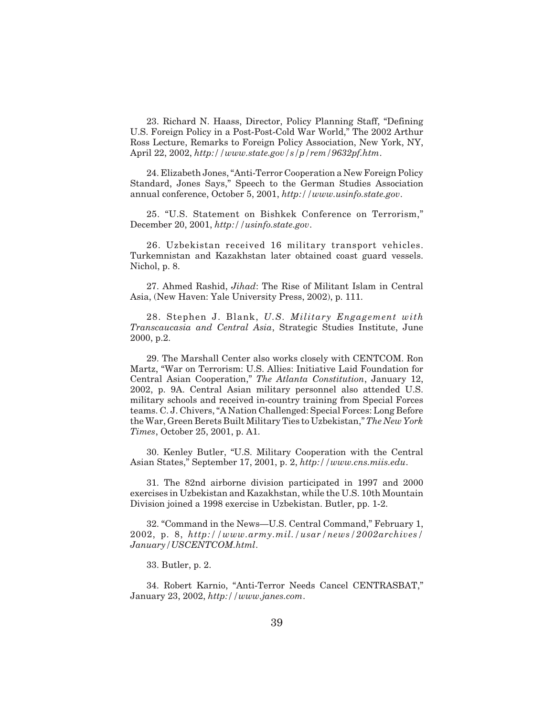23. Richard N. Haass, Director, Policy Planning Staff, "Defining U.S. Foreign Policy in a Post-Post-Cold War World," The 2002 Arthur Ross Lecture, Remarks to Foreign Policy Association, New York, NY, April 22, 2002, *http://www.state.gov/s/p/rem/9632pf.htm*.

24. Elizabeth Jones, "Anti-Terror Cooperation a New Foreign Policy Standard, Jones Says," Speech to the German Studies Association annual conference, October 5, 2001, *http://www.usinfo.state.gov*.

25. "U.S. Statement on Bishkek Conference on Terrorism," December 20, 2001, *http://usinfo.state.gov*.

26. Uzbekistan received 16 military transport vehicles. Turkemnistan and Kazakhstan later obtained coast guard vessels. Nichol, p. 8.

27. Ahmed Rashid, *Jihad*: The Rise of Militant Islam in Central Asia, (New Haven: Yale University Press, 2002), p. 111.

28. Stephen J. Blank, *U.S. Military Engagement with Transcaucasia and Central Asia*, Strategic Studies Institute, June 2000, p.2.

29. The Marshall Center also works closely with CENTCOM. Ron Martz, "War on Terrorism: U.S. Allies: Initiative Laid Foundation for Central Asian Cooperation," *The Atlanta Constitution*, January 12, 2002, p. 9A. Central Asian military personnel also attended U.S. military schools and received in-country training from Special Forces teams. C. J. Chivers, "A Nation Challenged: Special Forces: Long Before the War, Green Berets Built Military Ties to Uzbekistan,"*The New York Times*, October 25, 2001, p. A1.

30. Kenley Butler, "U.S. Military Cooperation with the Central Asian States," September 17, 2001, p. 2, *http://www.cns.miis.edu*.

31. The 82nd airborne division participated in 1997 and 2000 exercises in Uzbekistan and Kazakhstan, while the U.S. 10th Mountain Division joined a 1998 exercise in Uzbekistan. Butler, pp. 1-2.

32. "Command in the News—U.S. Central Command," February 1, 2002, p. 8, *http://www.army.mil./usar/news/2002archives/ January/USCENTCOM.html*.

33. Butler, p. 2.

34. Robert Karnio, "Anti-Terror Needs Cancel CENTRASBAT," January 23, 2002, *http://www.janes.com*.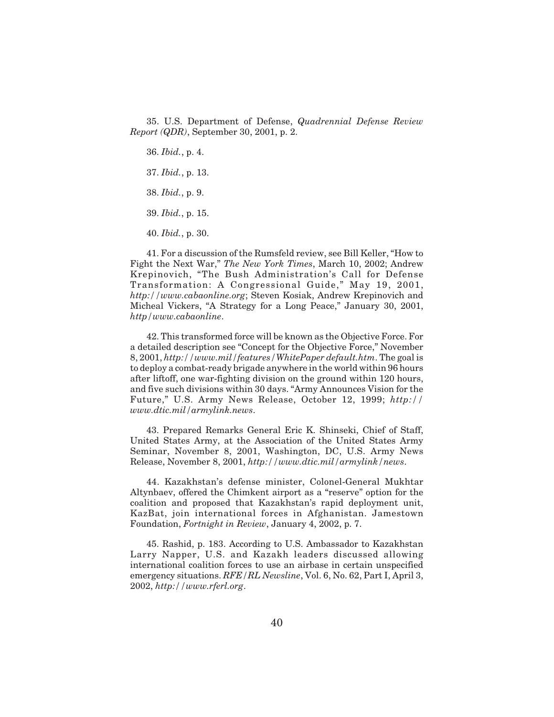35. U.S. Department of Defense, *Quadrennial Defense Review Report (QDR)*, September 30, 2001, p. 2.

36. *Ibid.*, p. 4.

37. *Ibid.*, p. 13.

38. *Ibid.*, p. 9.

39. *Ibid.*, p. 15.

40. *Ibid.*, p. 30.

41. For a discussion of the Rumsfeld review, see Bill Keller, "How to Fight the Next War," *The New York Times*, March 10, 2002; Andrew Krepinovich, "The Bush Administration's Call for Defense Transformation: A Congressional Guide," May 19, 2001, *http://www.cabaonline.org*; Steven Kosiak, Andrew Krepinovich and Micheal Vickers, "A Strategy for a Long Peace," January 30, 2001, *http/www.cabaonline*.

42. This transformed force will be known as the Objective Force. For a detailed description see "Concept for the Objective Force," November 8, 2001, *http://www.mil/features/WhitePaper default.htm*. The goal is to deploy a combat-ready brigade anywhere in the world within 96 hours after liftoff, one war-fighting division on the ground within 120 hours, and five such divisions within 30 days. "Army Announces Vision for the Future," U.S. Army News Release, October 12, 1999; *http:// www.dtic.mil/armylink.news*.

43. Prepared Remarks General Eric K. Shinseki, Chief of Staff, United States Army, at the Association of the United States Army Seminar, November 8, 2001, Washington, DC, U.S. Army News Release, November 8, 2001, *http://www.dtic.mil/armylink/news*.

44. Kazakhstan's defense minister, Colonel-General Mukhtar Altynbaev, offered the Chimkent airport as a "reserve" option for the coalition and proposed that Kazakhstan's rapid deployment unit, KazBat, join international forces in Afghanistan. Jamestown Foundation, *Fortnight in Review*, January 4, 2002, p. 7.

45. Rashid, p. 183. According to U.S. Ambassador to Kazakhstan Larry Napper, U.S. and Kazakh leaders discussed allowing international coalition forces to use an airbase in certain unspecified emergency situations. *RFE/RL Newsline*, Vol. 6, No. 62, Part I, April 3, 2002, *http://www.rferl.org*.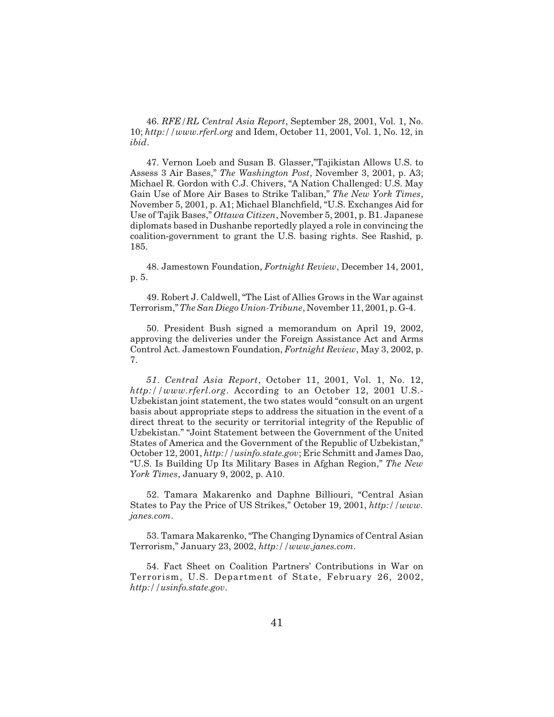46. *RFE/RL Central Asia Report*, September 28, 2001, Vol. 1, No. 10; *http://www.rferl.org* and Idem, October 11, 2001, Vol. 1, No. 12, in *ibid*.

47. Vernon Loeb and Susan B. Glasser,"Tajikistan Allows U.S. to Assess 3 Air Bases," *The Washington Post*, November 3, 2001, p. A3; Michael R. Gordon with C.J. Chivers, "A Nation Challenged: U.S. May Gain Use of More Air Bases to Strike Taliban," *The New York Times*, November 5, 2001, p. A1; Michael Blanchfield, "U.S. Exchanges Aid for Use of Tajik Bases," *Ottawa Citizen*, November 5, 2001, p. B1. Japanese diplomats based in Dushanbe reportedly played a role in convincing the coalition-government to grant the U.S. basing rights. See Rashid, p. 185.

48. Jamestown Foundation, *Fortnight Review*, December 14, 2001, p. 5.

49. Robert J. Caldwell, "The List of Allies Grows in the War against Terrorism,"*The San Diego Union-Tribune*, November 11, 2001, p. G-4.

50. President Bush signed a memorandum on April 19, 2002, approving the deliveries under the Foreign Assistance Act and Arms Control Act. Jamestown Foundation, *Fortnight Review*, May 3, 2002, p. 7.

*51*. *Central Asia Report*, October 11, 2001, Vol. 1, No. 12, *http://www.rferl.org*. According to an October 12, 2001 U.S.- Uzbekistan joint statement, the two states would "consult on an urgent basis about appropriate steps to address the situation in the event of a direct threat to the security or territorial integrity of the Republic of Uzbekistan." "Joint Statement between the Government of the United States of America and the Government of the Republic of Uzbekistan," October 12, 2001, *http://usinfo.state.gov*; Eric Schmitt and James Dao, "U.S. Is Building Up Its Military Bases in Afghan Region," *The New York Times*, January 9, 2002, p. A10.

52. Tamara Makarenko and Daphne Billiouri, "Central Asian States to Pay the Price of US Strikes," October 19, 2001, *http://www. janes.com*.

53. Tamara Makarenko, "The Changing Dynamics of Central Asian Terrorism," January 23, 2002, *http://www.janes.com*.

54. Fact Sheet on Coalition Partners' Contributions in War on Terrorism, U.S. Department of State, February 26, 2002, *http://usinfo.state.gov*.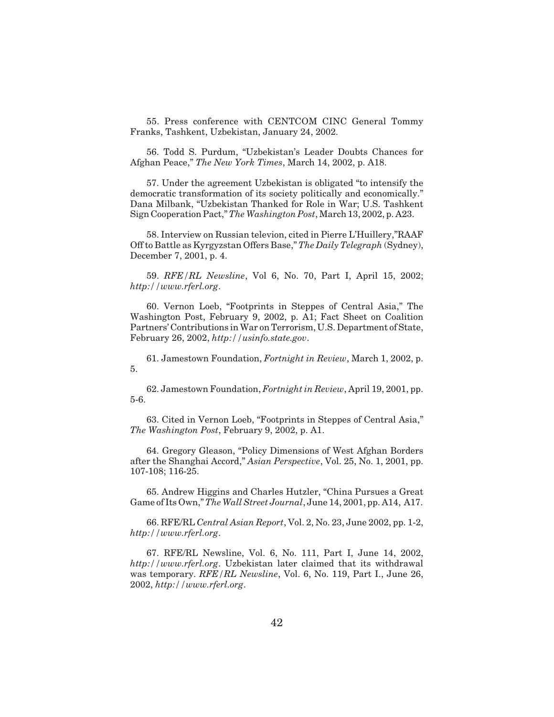55. Press conference with CENTCOM CINC General Tommy Franks, Tashkent, Uzbekistan, January 24, 2002.

56. Todd S. Purdum, "Uzbekistan's Leader Doubts Chances for Afghan Peace," *The New York Times*, March 14, 2002, p. A18.

57. Under the agreement Uzbekistan is obligated "to intensify the democratic transformation of its society politically and economically." Dana Milbank, "Uzbekistan Thanked for Role in War; U.S. Tashkent Sign Cooperation Pact,"*The Washington Post*, March 13, 2002, p. A23.

58. Interview on Russian televion, cited in Pierre L'Huillery,"RAAF Off to Battle as Kyrgyzstan Offers Base," *The Daily Telegraph* (Sydney), December 7, 2001, p. 4.

59. *RFE/RL Newsline*, Vol 6, No. 70, Part I, April 15, 2002; *http://www.rferl.org*.

60. Vernon Loeb, "Footprints in Steppes of Central Asia," The Washington Post, February 9, 2002, p. A1; Fact Sheet on Coalition Partners' Contributions in War on Terrorism, U.S. Department of State, February 26, 2002, *http://usinfo.state.gov*.

61. Jamestown Foundation, *Fortnight in Review*, March 1, 2002, p. 5.

62. Jamestown Foundation, *Fortnight in Review*, April 19, 2001, pp. 5-6.

63. Cited in Vernon Loeb, "Footprints in Steppes of Central Asia," *The Washington Post*, February 9, 2002, p. A1.

64. Gregory Gleason, "Policy Dimensions of West Afghan Borders after the Shanghai Accord," *Asian Perspective*, Vol. 25, No. 1, 2001, pp. 107-108; 116-25.

65. Andrew Higgins and Charles Hutzler, "China Pursues a Great Game of Its Own,"*The Wall Street Journal*, June 14, 2001, pp. A14, A17.

66. RFE/RL *Central Asian Report*, Vol. 2, No. 23, June 2002, pp. 1-2, *http://www.rferl.org*.

67. RFE/RL Newsline, Vol. 6, No. 111, Part I, June 14, 2002, *http://www.rferl.org*. Uzbekistan later claimed that its withdrawal was temporary. *RFE/RL Newsline*, Vol. 6, No. 119, Part I., June 26, 2002, *http://www.rferl.org*.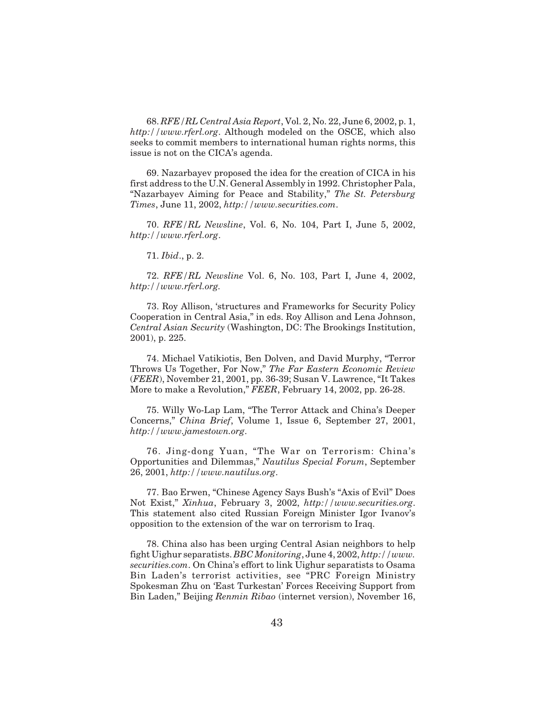68. *RFE/RL Central Asia Report*, Vol. 2, No. 22, June 6, 2002, p. 1, *http://www.rferl.org*. Although modeled on the OSCE, which also seeks to commit members to international human rights norms, this issue is not on the CICA's agenda.

69. Nazarbayev proposed the idea for the creation of CICA in his first address to the U.N. General Assembly in 1992. Christopher Pala, "Nazarbayev Aiming for Peace and Stability," *The St. Petersburg Times*, June 11, 2002, *http://www.securities.com*.

70. *RFE/RL Newsline*, Vol. 6, No. 104, Part I, June 5, 2002, *http://www.rferl.org*.

71. *Ibid*., p. 2.

72. *RFE/RL Newsline* Vol. 6, No. 103, Part I, June 4, 2002, *http://www.rferl.org.*

73. Roy Allison, 'structures and Frameworks for Security Policy Cooperation in Central Asia," in eds. Roy Allison and Lena Johnson, *Central Asian Security* (Washington, DC: The Brookings Institution, 2001), p. 225.

74. Michael Vatikiotis, Ben Dolven, and David Murphy, "Terror Throws Us Together, For Now," *The Far Eastern Economic Review* (*FEER*), November 21, 2001, pp. 36-39; Susan V. Lawrence, "It Takes More to make a Revolution," *FEER*, February 14, 2002, pp. 26-28.

75. Willy Wo-Lap Lam, "The Terror Attack and China's Deeper Concerns," *China Brief*, Volume 1, Issue 6, September 27, 2001, *http://www.jamestown.org*.

76. Jing-dong Yuan, "The War on Terrorism: China's Opportunities and Dilemmas," *Nautilus Special Forum*, September 26, 2001, *http://www.nautilus.org*.

77. Bao Erwen, "Chinese Agency Says Bush's "Axis of Evil" Does Not Exist," *Xinhua*, February 3, 2002, *http://www.securities.org*. This statement also cited Russian Foreign Minister Igor Ivanov's opposition to the extension of the war on terrorism to Iraq.

78. China also has been urging Central Asian neighbors to help fight Uighur separatists. *BBC Monitoring*, June 4, 2002, *http://www. securities.com*. On China's effort to link Uighur separatists to Osama Bin Laden's terrorist activities, see "PRC Foreign Ministry Spokesman Zhu on 'East Turkestan' Forces Receiving Support from Bin Laden," Beijing *Renmin Ribao* (internet version), November 16,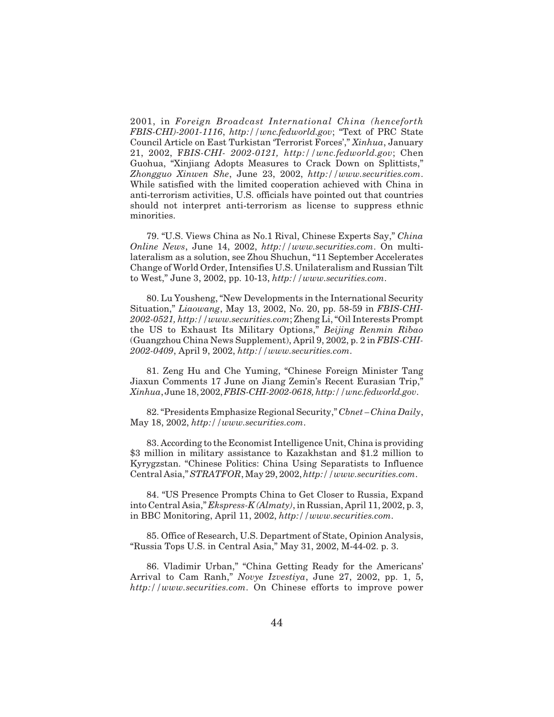2001, in *Foreign Broadcast International China (henceforth FBIS-CHI)-2001-1116*, *http://wnc.fedworld.gov*; "Text of PRC State Council Article on East Turkistan 'Terrorist Forces'," *Xinhua*, January 21, 2002, F*BIS-CHI- 2002-0121, http://wnc.fedworld.gov*; Chen Guohua, "Xinjiang Adopts Measures to Crack Down on Splittists," *Zhongguo Xinwen She*, June 23, 2002, *http://www.securities.com*. While satisfied with the limited cooperation achieved with China in anti-terrorism activities, U.S. officials have pointed out that countries should not interpret anti-terrorism as license to suppress ethnic minorities.

79. "U.S. Views China as No.1 Rival, Chinese Experts Say," *China Online News*, June 14, 2002, *http://www.securities.com*. On multilateralism as a solution, see Zhou Shuchun, "11 September Accelerates Change of World Order, Intensifies U.S. Unilateralism and Russian Tilt to West," June 3, 2002, pp. 10-13, *http://www.securities.com*.

80. Lu Yousheng, "New Developments in the International Security Situation," *Liaowang*, May 13, 2002, No. 20, pp. 58-59 in *FBIS-CHI-2002-0521, http://www.securities.com*; Zheng Li, "Oil Interests Prompt the US to Exhaust Its Military Options," *Beijing Renmin Ribao* (Guangzhou China News Supplement), April 9, 2002, p. 2 in *FBIS-CHI-2002-0409*, April 9, 2002, *http://www.securities.com*.

81. Zeng Hu and Che Yuming, "Chinese Foreign Minister Tang Jiaxun Comments 17 June on Jiang Zemin's Recent Eurasian Trip," *Xinhua*, June 18, 2002,*FBIS-CHI-2002-0618, http://wnc.fedworld.gov*.

82. "Presidents Emphasize Regional Security," *Cbnet – China Daily*, May 18, 2002, *http://www.securities.com*.

83. According to the Economist Intelligence Unit, China is providing \$3 million in military assistance to Kazakhstan and \$1.2 million to Kyrygzstan. "Chinese Politics: China Using Separatists to Influence Central Asia,"*STRATFOR*, May 29, 2002, *http://www.securities.com*.

84. "US Presence Prompts China to Get Closer to Russia, Expand into Central Asia," *Ekspress-K (Almaty)*, in Russian, April 11, 2002, p. 3, in BBC Monitoring, April 11, 2002, *http://www.securities.com*.

85. Office of Research, U.S. Department of State, Opinion Analysis, "Russia Tops U.S. in Central Asia," May 31, 2002, M-44-02. p. 3.

86. Vladimir Urban," "China Getting Ready for the Americans' Arrival to Cam Ranh," *Novye Izvestiya*, June 27, 2002, pp. 1, 5, *http://www.securities.com*. On Chinese efforts to improve power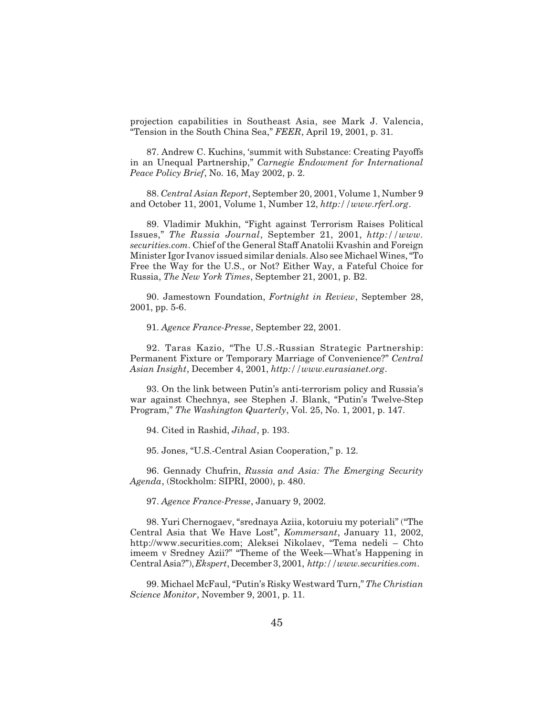projection capabilities in Southeast Asia, see Mark J. Valencia, "Tension in the South China Sea," *FEER*, April 19, 2001, p. 31.

87. Andrew C. Kuchins, 'summit with Substance: Creating Payoffs in an Unequal Partnership," *Carnegie Endowment for International Peace Policy Brief*, No. 16, May 2002, p. 2.

88. *Central Asian Report*, September 20, 2001, Volume 1, Number 9 and October 11, 2001, Volume 1, Number 12, *http://www.rferl.org*.

89. Vladimir Mukhin, "Fight against Terrorism Raises Political Issues," *The Russia Journal*, September 21, 2001, *http://www. securities.com*. Chief of the General Staff Anatolii Kvashin and Foreign Minister Igor Ivanov issued similar denials. Also see Michael Wines, "To Free the Way for the U.S., or Not? Either Way, a Fateful Choice for Russia, *The New York Times*, September 21, 2001, p. B2.

90. Jamestown Foundation, *Fortnight in Review*, September 28, 2001, pp. 5-6.

91. *Agence France-Presse*, September 22, 2001.

92. Taras Kazio, "The U.S.-Russian Strategic Partnership: Permanent Fixture or Temporary Marriage of Convenience?" *Central Asian Insight*, December 4, 2001, *http://www.eurasianet.org*.

93. On the link between Putin's anti-terrorism policy and Russia's war against Chechnya, see Stephen J. Blank, "Putin's Twelve-Step Program," *The Washington Quarterly*, Vol. 25, No. 1, 2001, p. 147.

94. Cited in Rashid, *Jihad*, p. 193.

95. Jones, "U.S.-Central Asian Cooperation," p. 12.

96. Gennady Chufrin, *Russia and Asia: The Emerging Security Agenda*, (Stockholm: SIPRI, 2000), p. 480.

97. *Agence France-Presse*, January 9, 2002.

98. Yuri Chernogaev, "srednaya Aziia, kotoruiu my poteriali" ("The Central Asia that We Have Lost", *Kommersant*, January 11, 2002, http://www.securities.com; Aleksei Nikolaev, "Tema nedeli – Chto imeem v Sredney Azii?" "Theme of the Week—What's Happening in Central Asia?"), *Ekspert*, December 3, 2001, *http://www.securities.com*.

99. Michael McFaul, "Putin's Risky Westward Turn," *The Christian Science Monitor*, November 9, 2001, p. 11.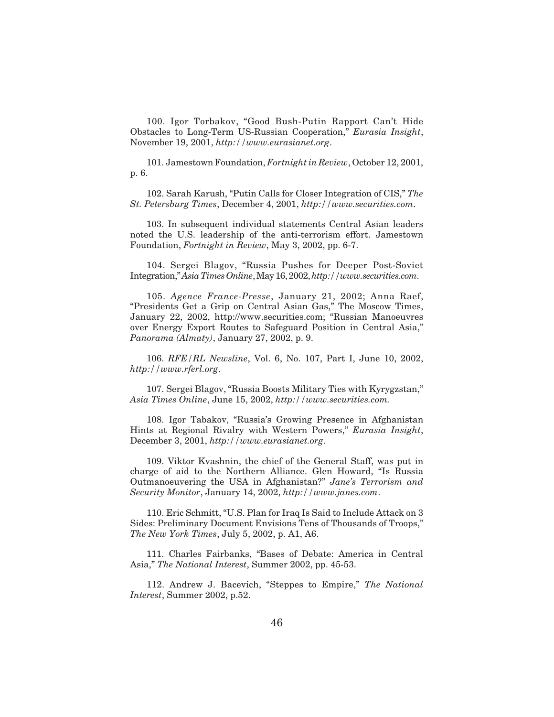100. Igor Torbakov, "Good Bush-Putin Rapport Can't Hide Obstacles to Long-Term US-Russian Cooperation," *Eurasia Insight*, November 19, 2001, *http://www.eurasianet.org*.

101. Jamestown Foundation, *Fortnight in Review*, October 12, 2001, p. 6.

102. Sarah Karush, "Putin Calls for Closer Integration of CIS," *The St. Petersburg Times*, December 4, 2001, *http://www.securities.com*.

103. In subsequent individual statements Central Asian leaders noted the U.S. leadership of the anti-terrorism effort. Jamestown Foundation, *Fortnight in Review*, May 3, 2002, pp. 6-7.

104. Sergei Blagov, "Russia Pushes for Deeper Post-Soviet Integration,"*AsiaTimesOnline*,May16,2002,*http://www.securities.com*.

105. *Agence France-Presse*, January 21, 2002; Anna Raef, "Presidents Get a Grip on Central Asian Gas," The Moscow Times, January 22, 2002, http://www.securities.com; "Russian Manoeuvres over Energy Export Routes to Safeguard Position in Central Asia," *Panorama (Almaty)*, January 27, 2002, p. 9.

106. *RFE/RL Newsline*, Vol. 6, No. 107, Part I, June 10, 2002, *http://www.rferl.org*.

107. Sergei Blagov, "Russia Boosts Military Ties with Kyrygzstan," *Asia Times Online*, June 15, 2002, *http://www.securities.com.*

108. Igor Tabakov, "Russia's Growing Presence in Afghanistan Hints at Regional Rivalry with Western Powers," *Eurasia Insight*, December 3, 2001, *http://www.eurasianet.org*.

109. Viktor Kvashnin, the chief of the General Staff, was put in charge of aid to the Northern Alliance. Glen Howard, "Is Russia Outmanoeuvering the USA in Afghanistan?" *Jane's Terrorism and Security Monitor*, January 14, 2002, *http://www.janes.com*.

110. Eric Schmitt, "U.S. Plan for Iraq Is Said to Include Attack on 3 Sides: Preliminary Document Envisions Tens of Thousands of Troops," *The New York Times*, July 5, 2002, p. A1, A6.

111. Charles Fairbanks, "Bases of Debate: America in Central Asia," *The National Interest*, Summer 2002, pp. 45-53.

112. Andrew J. Bacevich, "Steppes to Empire," *The National Interest*, Summer 2002, p.52.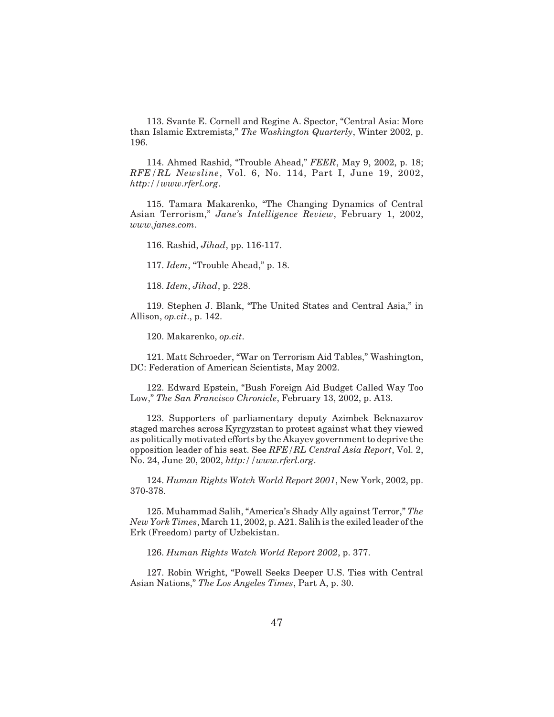113. Svante E. Cornell and Regine A. Spector, "Central Asia: More than Islamic Extremists," *The Washington Quarterly*, Winter 2002, p. 196.

114. Ahmed Rashid, "Trouble Ahead," *FEER*, May 9, 2002, p. 18; *RFE/RL Newsline*, Vol. 6, No. 114, Part I, June 19, 2002, *http://www.rferl.org*.

115. Tamara Makarenko, "The Changing Dynamics of Central Asian Terrorism," *Jane's Intelligence Review*, February 1, 2002, *www.janes.com*.

116. Rashid, *Jihad*, pp. 116-117.

117. *Idem*, "Trouble Ahead," p. 18.

118. *Idem*, *Jihad*, p. 228.

119. Stephen J. Blank, "The United States and Central Asia," in Allison, *op.cit*., p. 142.

120. Makarenko, *op.cit*.

121. Matt Schroeder, "War on Terrorism Aid Tables," Washington, DC: Federation of American Scientists, May 2002.

122. Edward Epstein, "Bush Foreign Aid Budget Called Way Too Low," *The San Francisco Chronicle*, February 13, 2002, p. A13.

123. Supporters of parliamentary deputy Azimbek Beknazarov staged marches across Kyrgyzstan to protest against what they viewed as politically motivated efforts by the Akayev government to deprive the opposition leader of his seat. See *RFE/RL Central Asia Report*, Vol. 2, No. 24, June 20, 2002, *http://www.rferl.org*.

124. *Human Rights Watch World Report 2001*, New York, 2002, pp. 370-378.

125. Muhammad Salih, "America's Shady Ally against Terror," *The New York Times*, March 11, 2002, p. A21. Salih is the exiled leader of the Erk (Freedom) party of Uzbekistan.

126. *Human Rights Watch World Report 2002*, p. 377.

127. Robin Wright, "Powell Seeks Deeper U.S. Ties with Central Asian Nations," *The Los Angeles Times*, Part A, p. 30.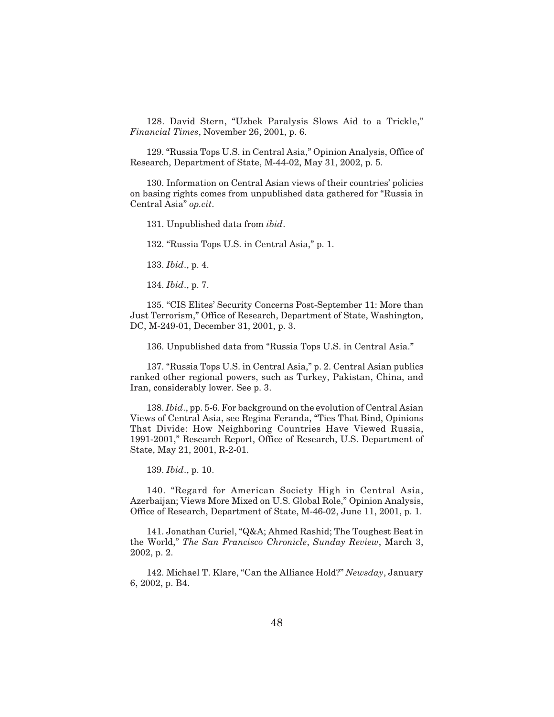128. David Stern, "Uzbek Paralysis Slows Aid to a Trickle," *Financial Times*, November 26, 2001, p. 6.

129. "Russia Tops U.S. in Central Asia," Opinion Analysis, Office of Research, Department of State, M-44-02, May 31, 2002, p. 5.

130. Information on Central Asian views of their countries' policies on basing rights comes from unpublished data gathered for "Russia in Central Asia" *op.cit*.

131. Unpublished data from *ibid*.

132. "Russia Tops U.S. in Central Asia," p. 1.

133. *Ibid*., p. 4.

134. *Ibid*., p. 7.

135. "CIS Elites' Security Concerns Post-September 11: More than Just Terrorism," Office of Research, Department of State, Washington, DC, M-249-01, December 31, 2001, p. 3.

136. Unpublished data from "Russia Tops U.S. in Central Asia."

137. "Russia Tops U.S. in Central Asia," p. 2. Central Asian publics ranked other regional powers, such as Turkey, Pakistan, China, and Iran, considerably lower. See p. 3.

138. *Ibid*., pp. 5-6. For background on the evolution of Central Asian Views of Central Asia, see Regina Feranda, "Ties That Bind, Opinions That Divide: How Neighboring Countries Have Viewed Russia, 1991-2001," Research Report, Office of Research, U.S. Department of State, May 21, 2001, R-2-01.

139. *Ibid*., p. 10.

140. "Regard for American Society High in Central Asia, Azerbaijan; Views More Mixed on U.S. Global Role," Opinion Analysis, Office of Research, Department of State, M-46-02, June 11, 2001, p. 1.

141. Jonathan Curiel, "Q&A; Ahmed Rashid; The Toughest Beat in the World," *The San Francisco Chronicle*, *Sunday Review*, March 3, 2002, p. 2.

142. Michael T. Klare, "Can the Alliance Hold?" *Newsday*, January 6, 2002, p. B4.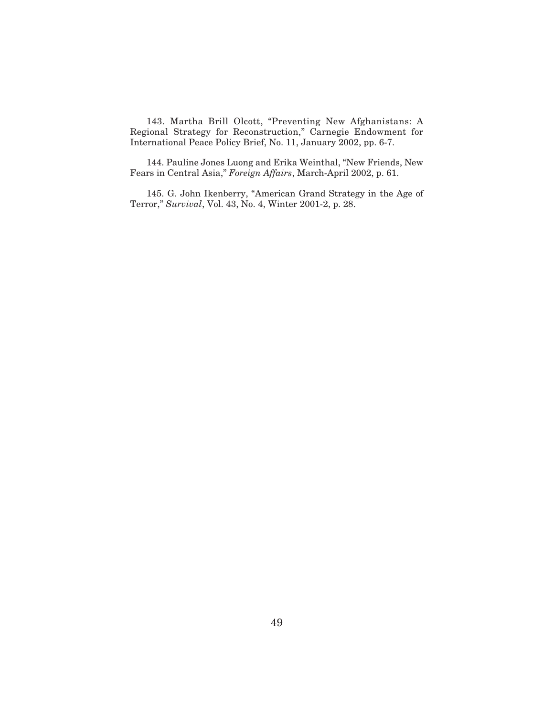143. Martha Brill Olcott, "Preventing New Afghanistans: A Regional Strategy for Reconstruction," Carnegie Endowment for International Peace Policy Brief, No. 11, January 2002, pp. 6-7.

144. Pauline Jones Luong and Erika Weinthal, "New Friends, New Fears in Central Asia," *Foreign Affairs*, March-April 2002, p. 61.

145. G. John Ikenberry, "American Grand Strategy in the Age of Terror," *Survival*, Vol. 43, No. 4, Winter 2001-2, p. 28.